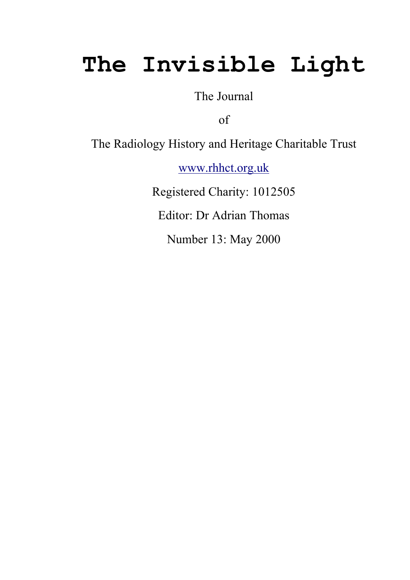# The Invisible Light

The Journal

of

The Radiology History and Heritage Charitable Trust

www.rhhct.org.uk

Registered Charity: 1012505

Editor: Dr Adrian Thomas

Number 13: May 2000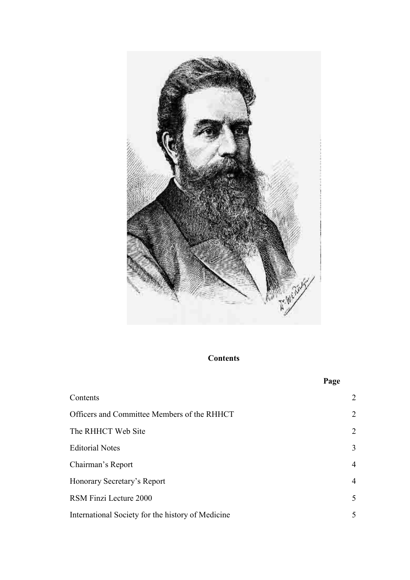

**Contents** 

|                                                   | Page           |
|---------------------------------------------------|----------------|
| Contents                                          | $\overline{2}$ |
| Officers and Committee Members of the RHHCT       | $\overline{2}$ |
| The RHHCT Web Site                                | $\overline{2}$ |
| <b>Editorial Notes</b>                            | 3              |
| Chairman's Report                                 | $\overline{4}$ |
| Honorary Secretary's Report                       | $\overline{4}$ |
| RSM Finzi Lecture 2000                            | 5              |
| International Society for the history of Medicine | 5              |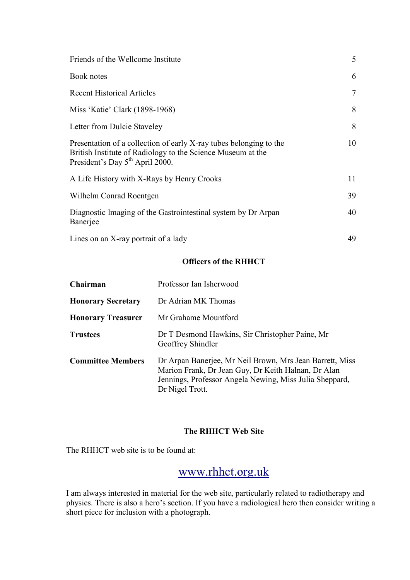| Friends of the Wellcome Institute                                                                                                                                                | 5      |
|----------------------------------------------------------------------------------------------------------------------------------------------------------------------------------|--------|
| Book notes                                                                                                                                                                       | 6      |
| <b>Recent Historical Articles</b>                                                                                                                                                | $\tau$ |
| Miss 'Katie' Clark (1898-1968)                                                                                                                                                   | 8      |
| Letter from Dulcie Staveley                                                                                                                                                      | 8      |
| Presentation of a collection of early X-ray tubes belonging to the<br>British Institute of Radiology to the Science Museum at the<br>President's Day 5 <sup>th</sup> April 2000. | 10     |
| A Life History with X-Rays by Henry Crooks                                                                                                                                       | 11     |
| Wilhelm Conrad Roentgen                                                                                                                                                          | 39     |
| Diagnostic Imaging of the Gastrointestinal system by Dr Arpan<br>Banerjee                                                                                                        | 40     |
| Lines on an X-ray portrait of a lady                                                                                                                                             | 49     |

#### Officers of the RHHCT

| Chairman                  | Professor Ian Isherwood                                                                                                                                                                       |
|---------------------------|-----------------------------------------------------------------------------------------------------------------------------------------------------------------------------------------------|
| <b>Honorary Secretary</b> | Dr Adrian MK Thomas                                                                                                                                                                           |
| <b>Honorary Treasurer</b> | Mr Grahame Mountford                                                                                                                                                                          |
| <b>Trustees</b>           | Dr T Desmond Hawkins, Sir Christopher Paine, Mr<br>Geoffrey Shindler                                                                                                                          |
| <b>Committee Members</b>  | Dr Arpan Banerjee, Mr Neil Brown, Mrs Jean Barrett, Miss<br>Marion Frank, Dr Jean Guy, Dr Keith Halnan, Dr Alan<br>Jennings, Professor Angela Newing, Miss Julia Sheppard,<br>Dr Nigel Trott. |

## The RHHCT Web Site

The RHHCT web site is to be found at:

# www.rhhct.org.uk

I am always interested in material for the web site, particularly related to radiotherapy and physics. There is also a hero's section. If you have a radiological hero then consider writing a short piece for inclusion with a photograph.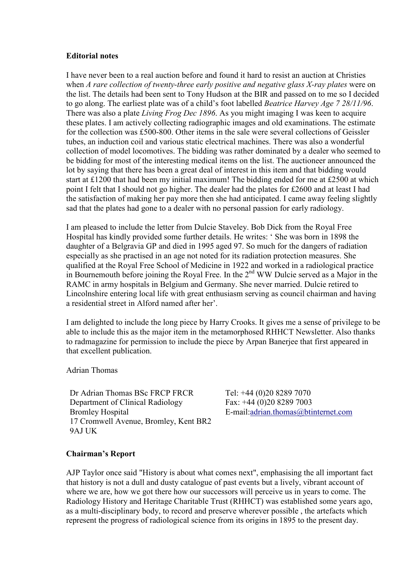#### Editorial notes

I have never been to a real auction before and found it hard to resist an auction at Christies when A rare collection of twenty-three early positive and negative glass X-ray plates were on the list. The details had been sent to Tony Hudson at the BIR and passed on to me so I decided to go along. The earliest plate was of a child's foot labelled Beatrice Harvey Age 7 28/11/96. There was also a plate *Living Frog Dec 1896*. As you might imaging I was keen to acquire these plates. I am actively collecting radiographic images and old examinations. The estimate for the collection was £500-800. Other items in the sale were several collections of Geissler tubes, an induction coil and various static electrical machines. There was also a wonderful collection of model locomotives. The bidding was rather dominated by a dealer who seemed to be bidding for most of the interesting medical items on the list. The auctioneer announced the lot by saying that there has been a great deal of interest in this item and that bidding would start at £1200 that had been my initial maximum! The bidding ended for me at £2500 at which point I felt that I should not go higher. The dealer had the plates for £2600 and at least I had the satisfaction of making her pay more then she had anticipated. I came away feeling slightly sad that the plates had gone to a dealer with no personal passion for early radiology.

I am pleased to include the letter from Dulcie Staveley. Bob Dick from the Royal Free Hospital has kindly provided some further details. He writes: ' She was born in 1898 the daughter of a Belgravia GP and died in 1995 aged 97. So much for the dangers of radiation especially as she practised in an age not noted for its radiation protection measures. She qualified at the Royal Free School of Medicine in 1922 and worked in a radiological practice in Bournemouth before joining the Royal Free. In the  $2<sup>nd</sup> WW$  Dulcie served as a Major in the RAMC in army hospitals in Belgium and Germany. She never married. Dulcie retired to Lincolnshire entering local life with great enthusiasm serving as council chairman and having a residential street in Alford named after her'.

I am delighted to include the long piece by Harry Crooks. It gives me a sense of privilege to be able to include this as the major item in the metamorphosed RHHCT Newsletter. Also thanks to radmagazine for permission to include the piece by Arpan Banerjee that first appeared in that excellent publication.

Adrian Thomas

Dr Adrian Thomas BSc FRCP FRCR Department of Clinical Radiology Bromley Hospital 17 Cromwell Avenue, Bromley, Kent BR2 9AJ UK

Tel: +44 (0)20 8289 7070 Fax: +44 (0)20 8289 7003 E-mail:adrian.thomas@btinternet.com

## Chairman's Report

AJP Taylor once said "History is about what comes next", emphasising the all important fact that history is not a dull and dusty catalogue of past events but a lively, vibrant account of where we are, how we got there how our successors will perceive us in years to come. The Radiology History and Heritage Charitable Trust (RHHCT) was established some years ago, as a multi-disciplinary body, to record and preserve wherever possible , the artefacts which represent the progress of radiological science from its origins in 1895 to the present day.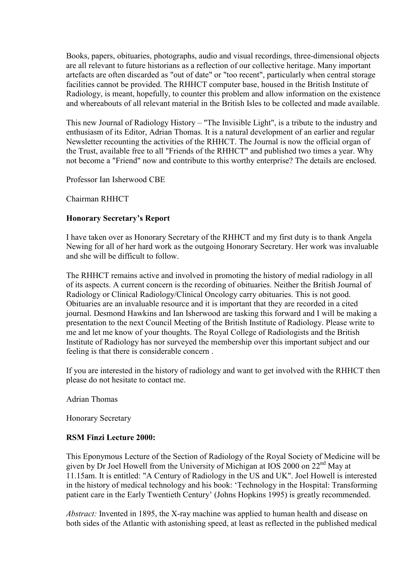Books, papers, obituaries, photographs, audio and visual recordings, three-dimensional objects are all relevant to future historians as a reflection of our collective heritage. Many important artefacts are often discarded as "out of date" or "too recent", particularly when central storage facilities cannot be provided. The RHHCT computer base, housed in the British Institute of Radiology, is meant, hopefully, to counter this problem and allow information on the existence and whereabouts of all relevant material in the British Isles to be collected and made available.

This new Journal of Radiology History – "The Invisible Light", is a tribute to the industry and enthusiasm of its Editor, Adrian Thomas. It is a natural development of an earlier and regular Newsletter recounting the activities of the RHHCT. The Journal is now the official organ of the Trust, available free to all "Friends of the RHHCT" and published two times a year. Why not become a "Friend" now and contribute to this worthy enterprise? The details are enclosed.

Professor Ian Isherwood CBE

Chairman RHHCT

#### Honorary Secretary's Report

I have taken over as Honorary Secretary of the RHHCT and my first duty is to thank Angela Newing for all of her hard work as the outgoing Honorary Secretary. Her work was invaluable and she will be difficult to follow.

The RHHCT remains active and involved in promoting the history of medial radiology in all of its aspects. A current concern is the recording of obituaries. Neither the British Journal of Radiology or Clinical Radiology/Clinical Oncology carry obituaries. This is not good. Obituaries are an invaluable resource and it is important that they are recorded in a cited journal. Desmond Hawkins and Ian Isherwood are tasking this forward and I will be making a presentation to the next Council Meeting of the British Institute of Radiology. Please write to me and let me know of your thoughts. The Royal College of Radiologists and the British Institute of Radiology has nor surveyed the membership over this important subject and our feeling is that there is considerable concern .

If you are interested in the history of radiology and want to get involved with the RHHCT then please do not hesitate to contact me.

Adrian Thomas

Honorary Secretary

#### RSM Finzi Lecture 2000:

This Eponymous Lecture of the Section of Radiology of the Royal Society of Medicine will be given by Dr Joel Howell from the University of Michigan at IOS 2000 on 22nd May at 11.15am. It is entitled: "A Century of Radiology in the US and UK". Joel Howell is interested in the history of medical technology and his book: 'Technology in the Hospital: Transforming patient care in the Early Twentieth Century' (Johns Hopkins 1995) is greatly recommended.

Abstract: Invented in 1895, the X-ray machine was applied to human health and disease on both sides of the Atlantic with astonishing speed, at least as reflected in the published medical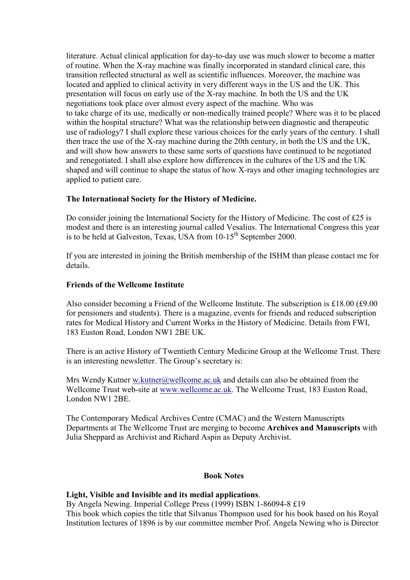literature. Actual clinical application for day-to-day use was much slower to become a matter of routine. When the X-ray machine was finally incorporated in standard clinical care, this transition reflected structural as well as scientific influences. Moreover, the machine was located and applied to clinical activity in very different ways in the US and the UK. This presentation will focus on early use of the X-ray machine. In both the US and the UK negotiations took place over almost every aspect of the machine. Who was to take charge of its use, medically or non-medically trained people? Where was it to be placed within the hospital structure? What was the relationship between diagnostic and therapeutic use of radiology? I shall explore these various choices for the early years of the century. I shall then trace the use of the X-ray machine during the 20th century, in both the US and the UK, and will show how answers to these same sorts of questions have continued to be negotiated and renegotiated. I shall also explore how differences in the cultures of the US and the UK shaped and will continue to shape the status of how X-rays and other imaging technologies are applied to patient care.

## The International Society for the History of Medicine.

Do consider joining the International Society for the History of Medicine. The cost of £25 is modest and there is an interesting journal called Vesalius. The International Congress this year is to be held at Galveston, Texas, USA from  $10-15^{th}$  September 2000.

If you are interested in joining the British membership of the ISHM than please contact me for details.

#### Friends of the Wellcome Institute

Also consider becoming a Friend of the Wellcome Institute. The subscription is £18.00 (£9.00 for pensioners and students). There is a magazine, events for friends and reduced subscription rates for Medical History and Current Works in the History of Medicine. Details from FWI, 183 Euston Road, London NW1 2BE UK.

There is an active History of Twentieth Century Medicine Group at the Wellcome Trust. There is an interesting newsletter. The Group's secretary is:

Mrs Wendy Kutner w.kutner@wellcome.ac.uk and details can also be obtained from the Wellcome Trust web-site at www.wellcome.ac.uk. The Wellcome Trust, 183 Euston Road, London NW1 2BE.

The Contemporary Medical Archives Centre (CMAC) and the Western Manuscripts Departments at The Wellcome Trust are merging to become Archives and Manuscripts with Julia Sheppard as Archivist and Richard Aspin as Deputy Archivist.

#### **Book Notes**

#### Light, Visible and Invisible and its medial applications.

By Angela Newing. Imperial College Press (1999) ISBN 1-86094-8 £19

This book which copies the title that Silvanus Thompson used for his book based on his Royal Institution lectures of 1896 is by our committee member Prof. Angela Newing who is Director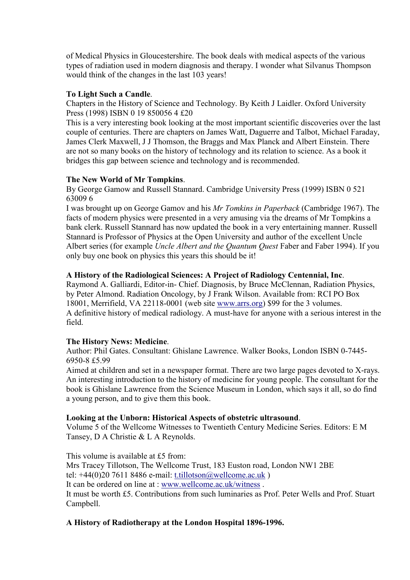of Medical Physics in Gloucestershire. The book deals with medical aspects of the various types of radiation used in modern diagnosis and therapy. I wonder what Silvanus Thompson would think of the changes in the last 103 years!

#### To Light Such a Candle.

Chapters in the History of Science and Technology. By Keith J Laidler. Oxford University Press (1998) ISBN 0 19 850056 4 £20

This is a very interesting book looking at the most important scientific discoveries over the last couple of centuries. There are chapters on James Watt, Daguerre and Talbot, Michael Faraday, James Clerk Maxwell, J J Thomson, the Braggs and Max Planck and Albert Einstein. There are not so many books on the history of technology and its relation to science. As a book it bridges this gap between science and technology and is recommended.

#### The New World of Mr Tompkins.

By George Gamow and Russell Stannard. Cambridge University Press (1999) ISBN 0 521 63009 6

I was brought up on George Gamov and his Mr Tomkins in Paperback (Cambridge 1967). The facts of modern physics were presented in a very amusing via the dreams of Mr Tompkins a bank clerk. Russell Stannard has now updated the book in a very entertaining manner. Russell Stannard is Professor of Physics at the Open University and author of the excellent Uncle Albert series (for example *Uncle Albert and the Ouantum Ouest* Faber and Faber 1994). If you only buy one book on physics this years this should be it!

#### A History of the Radiological Sciences: A Project of Radiology Centennial, Inc.

Raymond A. Galliardi, Editor-in- Chief. Diagnosis, by Bruce McClennan, Radiation Physics, by Peter Almond. Radiation Oncology, by J Frank Wilson. Available from: RCI PO Box 18001, Merrifield, VA 22118-0001 (web site www.arrs.org) \$99 for the 3 volumes. A definitive history of medical radiology. A must-have for anyone with a serious interest in the field.

#### The History News: Medicine.

Author: Phil Gates. Consultant: Ghislane Lawrence. Walker Books, London ISBN 0-7445- 6950-8 £5.99

Aimed at children and set in a newspaper format. There are two large pages devoted to X-rays. An interesting introduction to the history of medicine for young people. The consultant for the book is Ghislane Lawrence from the Science Museum in London, which says it all, so do find a young person, and to give them this book.

#### Looking at the Unborn: Historical Aspects of obstetric ultrasound.

Volume 5 of the Wellcome Witnesses to Twentieth Century Medicine Series. Editors: E M Tansey, D A Christie & L A Reynolds.

This volume is available at £5 from: Mrs Tracey Tillotson, The Wellcome Trust, 183 Euston road, London NW1 2BE tel: +44(0)20 7611 8486 e-mail: t.tillotson@wellcome.ac.uk ) It can be ordered on line at : www.wellcome.ac.uk/witness . It must be worth £5. Contributions from such luminaries as Prof. Peter Wells and Prof. Stuart Campbell.

#### A History of Radiotherapy at the London Hospital 1896-1996.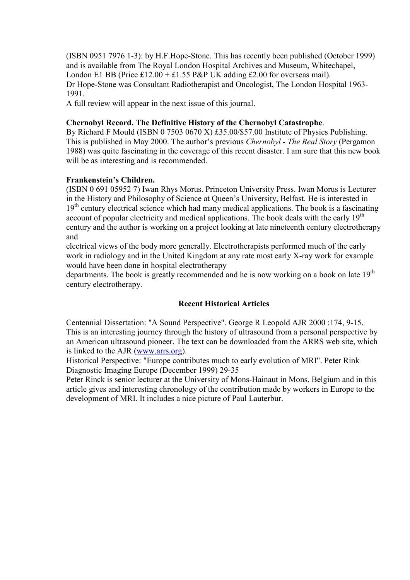(ISBN 0951 7976 1-3): by H.F.Hope-Stone. This has recently been published (October 1999) and is available from The Royal London Hospital Archives and Museum, Whitechapel, London E1 BB (Price £12.00 + £1.55 P&P UK adding £2.00 for overseas mail). Dr Hope-Stone was Consultant Radiotherapist and Oncologist, The London Hospital 1963- 1991.

A full review will appear in the next issue of this journal.

#### Chernobyl Record. The Definitive History of the Chernobyl Catastrophe.

By Richard F Mould (ISBN 0 7503 0670 X) £35.00/\$57.00 Institute of Physics Publishing. This is published in May 2000. The author's previous Chernobyl - The Real Story (Pergamon 1988) was quite fascinating in the coverage of this recent disaster. I am sure that this new book will be as interesting and is recommended.

#### Frankenstein's Children.

(ISBN 0 691 05952 7) Iwan Rhys Morus. Princeton University Press. Iwan Morus is Lecturer in the History and Philosophy of Science at Queen's University, Belfast. He is interested in  $19<sup>th</sup>$  century electrical science which had many medical applications. The book is a fascinating account of popular electricity and medical applications. The book deals with the early  $19<sup>th</sup>$ century and the author is working on a project looking at late nineteenth century electrotherapy and

electrical views of the body more generally. Electrotherapists performed much of the early work in radiology and in the United Kingdom at any rate most early X-ray work for example would have been done in hospital electrotherapy

departments. The book is greatly recommended and he is now working on a book on late  $19<sup>th</sup>$ century electrotherapy.

## Recent Historical Articles

Centennial Dissertation: "A Sound Perspective". George R Leopold AJR 2000 :174, 9-15. This is an interesting journey through the history of ultrasound from a personal perspective by an American ultrasound pioneer. The text can be downloaded from the ARRS web site, which is linked to the AJR (www.arrs.org).

Historical Perspective: "Europe contributes much to early evolution of MRI". Peter Rink Diagnostic Imaging Europe (December 1999) 29-35

Peter Rinck is senior lecturer at the University of Mons-Hainaut in Mons, Belgium and in this article gives and interesting chronology of the contribution made by workers in Europe to the development of MRI. It includes a nice picture of Paul Lauterbur.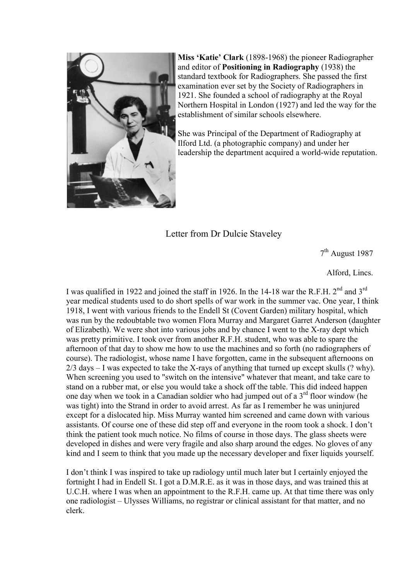

Miss 'Katie' Clark (1898-1968) the pioneer Radiographer and editor of Positioning in Radiography (1938) the standard textbook for Radiographers. She passed the first examination ever set by the Society of Radiographers in 1921. She founded a school of radiography at the Royal Northern Hospital in London (1927) and led the way for the establishment of similar schools elsewhere.

She was Principal of the Department of Radiography at Ilford Ltd. (a photographic company) and under her leadership the department acquired a world-wide reputation.

Letter from Dr Dulcie Staveley

7<sup>th</sup> August 1987

Alford, Lincs.

I was qualified in 1922 and joined the staff in 1926. In the 14-18 war the R.F.H. 2nd and 3rd year medical students used to do short spells of war work in the summer vac. One year, I think 1918, I went with various friends to the Endell St (Covent Garden) military hospital, which was run by the redoubtable two women Flora Murray and Margaret Garret Anderson (daughter of Elizabeth). We were shot into various jobs and by chance I went to the X-ray dept which was pretty primitive. I took over from another R.F.H. student, who was able to spare the afternoon of that day to show me how to use the machines and so forth (no radiographers of course). The radiologist, whose name I have forgotten, came in the subsequent afternoons on  $2/3$  days – I was expected to take the X-rays of anything that turned up except skulls (? why). When screening you used to "switch on the intensive" whatever that meant, and take care to stand on a rubber mat, or else you would take a shock off the table. This did indeed happen one day when we took in a Canadian soldier who had jumped out of a  $3<sup>rd</sup>$  floor window (he was tight) into the Strand in order to avoid arrest. As far as I remember he was uninjured except for a dislocated hip. Miss Murray wanted him screened and came down with various assistants. Of course one of these did step off and everyone in the room took a shock. I don't think the patient took much notice. No films of course in those days. The glass sheets were developed in dishes and were very fragile and also sharp around the edges. No gloves of any kind and I seem to think that you made up the necessary developer and fixer liquids yourself.

I don't think I was inspired to take up radiology until much later but I certainly enjoyed the fortnight I had in Endell St. I got a D.M.R.E. as it was in those days, and was trained this at U.C.H. where I was when an appointment to the R.F.H. came up. At that time there was only one radiologist – Ulysses Williams, no registrar or clinical assistant for that matter, and no clerk.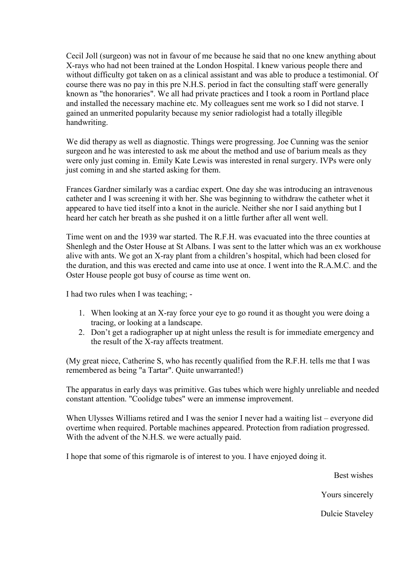Cecil Joll (surgeon) was not in favour of me because he said that no one knew anything about X-rays who had not been trained at the London Hospital. I knew various people there and without difficulty got taken on as a clinical assistant and was able to produce a testimonial. Of course there was no pay in this pre N.H.S. period in fact the consulting staff were generally known as "the honoraries". We all had private practices and I took a room in Portland place and installed the necessary machine etc. My colleagues sent me work so I did not starve. I gained an unmerited popularity because my senior radiologist had a totally illegible handwriting.

We did therapy as well as diagnostic. Things were progressing. Joe Cunning was the senior surgeon and he was interested to ask me about the method and use of barium meals as they were only just coming in. Emily Kate Lewis was interested in renal surgery. IVPs were only just coming in and she started asking for them.

Frances Gardner similarly was a cardiac expert. One day she was introducing an intravenous catheter and I was screening it with her. She was beginning to withdraw the catheter whet it appeared to have tied itself into a knot in the auricle. Neither she nor I said anything but I heard her catch her breath as she pushed it on a little further after all went well.

Time went on and the 1939 war started. The R.F.H. was evacuated into the three counties at Shenlegh and the Oster House at St Albans. I was sent to the latter which was an ex workhouse alive with ants. We got an X-ray plant from a children's hospital, which had been closed for the duration, and this was erected and came into use at once. I went into the R.A.M.C. and the Oster House people got busy of course as time went on.

I had two rules when I was teaching; -

- 1. When looking at an X-ray force your eye to go round it as thought you were doing a tracing, or looking at a landscape.
- 2. Don't get a radiographer up at night unless the result is for immediate emergency and the result of the X-ray affects treatment.

(My great niece, Catherine S, who has recently qualified from the R.F.H. tells me that I was remembered as being "a Tartar". Quite unwarranted!)

The apparatus in early days was primitive. Gas tubes which were highly unreliable and needed constant attention. "Coolidge tubes" were an immense improvement.

When Ulysses Williams retired and I was the senior I never had a waiting list – everyone did overtime when required. Portable machines appeared. Protection from radiation progressed. With the advent of the N.H.S. we were actually paid.

I hope that some of this rigmarole is of interest to you. I have enjoyed doing it.

Best wishes

Yours sincerely

Dulcie Staveley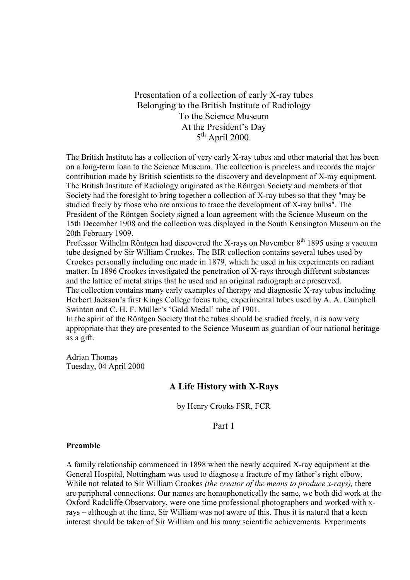Presentation of a collection of early X-ray tubes Belonging to the British Institute of Radiology To the Science Museum At the President's Day 5<sup>th</sup> April 2000.

The British Institute has a collection of very early X-ray tubes and other material that has been on a long-term loan to the Science Museum. The collection is priceless and records the major contribution made by British scientists to the discovery and development of X-ray equipment. The British Institute of Radiology originated as the Röntgen Society and members of that Society had the foresight to bring together a collection of X-ray tubes so that they "may be studied freely by those who are anxious to trace the development of X-ray bulbs". The President of the Röntgen Society signed a loan agreement with the Science Museum on the 15th December 1908 and the collection was displayed in the South Kensington Museum on the 20th February 1909.

Professor Wilhelm Röntgen had discovered the X-rays on November 8<sup>th</sup> 1895 using a vacuum tube designed by Sir William Crookes. The BIR collection contains several tubes used by Crookes personally including one made in 1879, which he used in his experiments on radiant matter. In 1896 Crookes investigated the penetration of X-rays through different substances and the lattice of metal strips that he used and an original radiograph are preserved. The collection contains many early examples of therapy and diagnostic X-ray tubes including Herbert Jackson's first Kings College focus tube, experimental tubes used by A. A. Campbell Swinton and C. H. F. Müller's 'Gold Medal' tube of 1901.

In the spirit of the Röntgen Society that the tubes should be studied freely, it is now very appropriate that they are presented to the Science Museum as guardian of our national heritage as a gift.

Adrian Thomas Tuesday, 04 April 2000

## A Life History with X-Rays

by Henry Crooks FSR, FCR

Part 1

#### Preamble

A family relationship commenced in 1898 when the newly acquired X-ray equipment at the General Hospital, Nottingham was used to diagnose a fracture of my father's right elbow. While not related to Sir William Crookes *(the creator of the means to produce x-rays)*, there are peripheral connections. Our names are homophonetically the same, we both did work at the Oxford Radcliffe Observatory, were one time professional photographers and worked with xrays – although at the time, Sir William was not aware of this. Thus it is natural that a keen interest should be taken of Sir William and his many scientific achievements. Experiments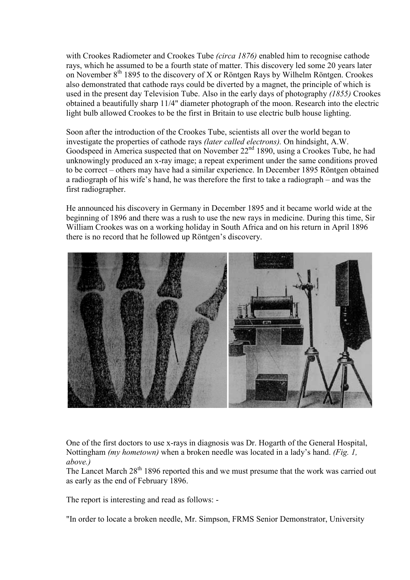with Crookes Radiometer and Crookes Tube *(circa 1876)* enabled him to recognise cathode rays, which he assumed to be a fourth state of matter. This discovery led some 20 years later on November  $8<sup>th</sup>$  1895 to the discovery of X or Röntgen Rays by Wilhelm Röntgen. Crookes also demonstrated that cathode rays could be diverted by a magnet, the principle of which is used in the present day Television Tube. Also in the early days of photography (1855) Crookes obtained a beautifully sharp 11/4" diameter photograph of the moon. Research into the electric light bulb allowed Crookes to be the first in Britain to use electric bulb house lighting.

Soon after the introduction of the Crookes Tube, scientists all over the world began to investigate the properties of cathode rays (later called electrons). On hindsight, A.W. Goodspeed in America suspected that on November  $22<sup>nd</sup> 1890$ , using a Crookes Tube, he had unknowingly produced an x-ray image; a repeat experiment under the same conditions proved to be correct – others may have had a similar experience. In December 1895 Röntgen obtained a radiograph of his wife's hand, he was therefore the first to take a radiograph – and was the first radiographer.

He announced his discovery in Germany in December 1895 and it became world wide at the beginning of 1896 and there was a rush to use the new rays in medicine. During this time, Sir William Crookes was on a working holiday in South Africa and on his return in April 1896 there is no record that he followed up Röntgen's discovery.



One of the first doctors to use x-rays in diagnosis was Dr. Hogarth of the General Hospital, Nottingham *(my hometown)* when a broken needle was located in a lady's hand. *(Fig. 1, Nottingham )* above.)

The Lancet March  $28<sup>th</sup> 1896$  reported this and we must presume that the work was carried out as early as the end of February 1896.

The report is interesting and read as follows: -

"In order to locate a broken needle, Mr. Simpson, FRMS Senior Demonstrator, University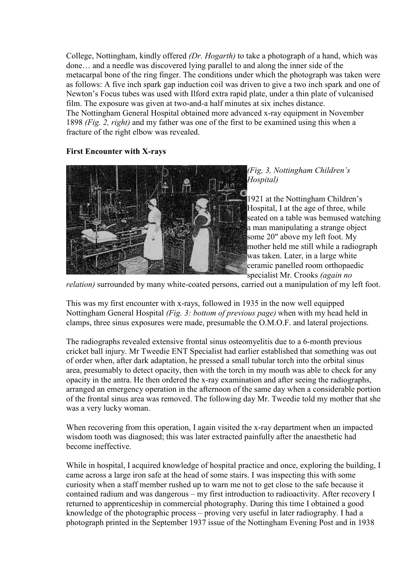College, Nottingham, kindly offered (Dr. Hogarth) to take a photograph of a hand, which was done… and a needle was discovered lying parallel to and along the inner side of the metacarpal bone of the ring finger. The conditions under which the photograph was taken were as follows: A five inch spark gap induction coil was driven to give a two inch spark and one of Newton's Focus tubes was used with Ilford extra rapid plate, under a thin plate of vulcanised film. The exposure was given at two-and-a half minutes at six inches distance. The Nottingham General Hospital obtained more advanced x-ray equipment in November 1898 (Fig. 2, right) and my father was one of the first to be examined using this when a fracture of the right elbow was revealed.

## First Encounter with X-rays



(Fig, 3, Nottingham Children's Hospital)

1921 at the Nottingham Children's Hospital, I at the age of three, while seated on a table was bemused watching a man manipulating a strange object some 20" above my left foot. My mother held me still while a radiograph was taken. Later, in a large white ceramic panelled room orthopaedic specialist Mr. Crooks *(again no* 

relation) surrounded by many white-coated persons, carried out a manipulation of my left foot.

This was my first encounter with x-rays, followed in 1935 in the now well equipped Nottingham General Hospital (Fig. 3: bottom of previous page) when with my head held in clamps, three sinus exposures were made, presumable the O.M.O.F. and lateral projections.

The radiographs revealed extensive frontal sinus osteomyelitis due to a 6-month previous cricket ball injury. Mr Tweedie ENT Specialist had earlier established that something was out of order when, after dark adaptation, he pressed a small tubular torch into the orbital sinus area, presumably to detect opacity, then with the torch in my mouth was able to check for any opacity in the antra. He then ordered the x-ray examination and after seeing the radiographs, arranged an emergency operation in the afternoon of the same day when a considerable portion of the frontal sinus area was removed. The following day Mr. Tweedie told my mother that she was a very lucky woman.

When recovering from this operation, I again visited the x-ray department when an impacted wisdom tooth was diagnosed; this was later extracted painfully after the anaesthetic had become ineffective.

While in hospital, I acquired knowledge of hospital practice and once, exploring the building, I came across a large iron safe at the head of some stairs. I was inspecting this with some curiosity when a staff member rushed up to warn me not to get close to the safe because it contained radium and was dangerous – my first introduction to radioactivity. After recovery I returned to apprenticeship in commercial photography. During this time I obtained a good knowledge of the photographic process – proving very useful in later radiography. I had a photograph printed in the September 1937 issue of the Nottingham Evening Post and in 1938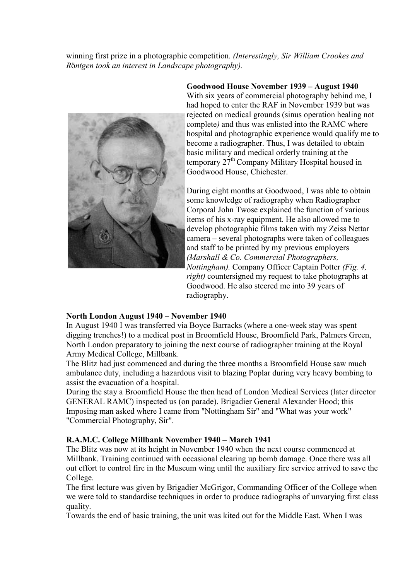winning first prize in a photographic competition. (Interestingly, Sir William Crookes and Röntgen took an interest in Landscape photography).



Goodwood House November 1939 – August 1940 With six years of commercial photography behind me. I had hoped to enter the RAF in November 1939 but was rejected on medical grounds (sinus operation healing not complete) and thus was enlisted into the RAMC where hospital and photographic experience would qualify me to become a radiographer. Thus, I was detailed to obtain basic military and medical orderly training at the temporary  $27<sup>th</sup>$  Company Military Hospital housed in Goodwood House, Chichester.

During eight months at Goodwood, I was able to obtain some knowledge of radiography when Radiographer Corporal John Twose explained the function of various items of his x-ray equipment. He also allowed me to develop photographic films taken with my Zeiss Nettar camera – several photographs were taken of colleagues and staff to be printed by my previous employers (Marshall & Co. Commercial Photographers, Nottingham). Company Officer Captain Potter (Fig. 4, right) countersigned my request to take photographs at Goodwood. He also steered me into 39 years of radiography.

#### North London August 1940 – November 1940

In August 1940 I was transferred via Boyce Barracks (where a one-week stay was spent digging trenches!) to a medical post in Broomfield House, Broomfield Park, Palmers Green, North London preparatory to joining the next course of radiographer training at the Royal Army Medical College, Millbank.

The Blitz had just commenced and during the three months a Broomfield House saw much ambulance duty, including a hazardous visit to blazing Poplar during very heavy bombing to assist the evacuation of a hospital.

During the stay a Broomfield House the then head of London Medical Services (later director GENERAL RAMC) inspected us (on parade). Brigadier General Alexander Hood; this Imposing man asked where I came from "Nottingham Sir" and "What was your work" "Commercial Photography, Sir".

## R.A.M.C. College Millbank November 1940 – March 1941

The Blitz was now at its height in November 1940 when the next course commenced at Millbank. Training continued with occasional clearing up bomb damage. Once there was all out effort to control fire in the Museum wing until the auxiliary fire service arrived to save the College.

The first lecture was given by Brigadier McGrigor, Commanding Officer of the College when we were told to standardise techniques in order to produce radiographs of unvarying first class quality.

Towards the end of basic training, the unit was kited out for the Middle East. When I was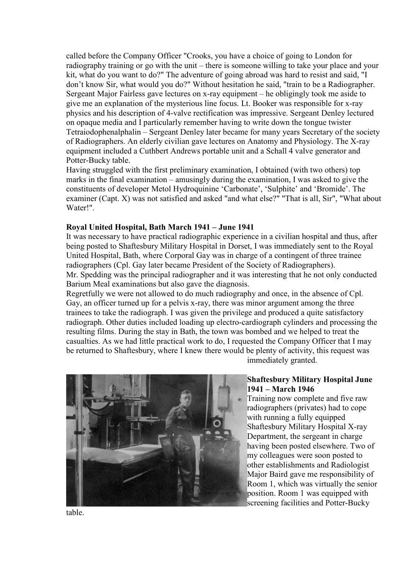called before the Company Officer "Crooks, you have a choice of going to London for radiography training or go with the unit – there is someone willing to take your place and your kit, what do you want to do?" The adventure of going abroad was hard to resist and said, "I don't know Sir, what would you do?" Without hesitation he said, "train to be a Radiographer. Sergeant Major Fairless gave lectures on x-ray equipment – he obligingly took me aside to give me an explanation of the mysterious line focus. Lt. Booker was responsible for x-ray physics and his description of 4-valve rectification was impressive. Sergeant Denley lectured on opaque media and I particularly remember having to write down the tongue twister Tetraiodophenalphalin – Sergeant Denley later became for many years Secretary of the society of Radiographers. An elderly civilian gave lectures on Anatomy and Physiology. The X-ray equipment included a Cuthbert Andrews portable unit and a Schall 4 valve generator and Potter-Bucky table.

Having struggled with the first preliminary examination, I obtained (with two others) top marks in the final examination – amusingly during the examination, I was asked to give the constituents of developer Metol Hydroquinine 'Carbonate', 'Sulphite' and 'Bromide'. The examiner (Capt. X) was not satisfied and asked "and what else?" "That is all, Sir", "What about Water!".

#### Royal United Hospital, Bath March 1941 – June 1941

It was necessary to have practical radiographic experience in a civilian hospital and thus, after being posted to Shaftesbury Military Hospital in Dorset, I was immediately sent to the Royal United Hospital, Bath, where Corporal Gay was in charge of a contingent of three trainee radiographers (Cpl. Gay later became President of the Society of Radiographers). Mr. Spedding was the principal radiographer and it was interesting that he not only conducted Barium Meal examinations but also gave the diagnosis.

Regretfully we were not allowed to do much radiography and once, in the absence of Cpl. Gay, an officer turned up for a pelvis x-ray, there was minor argument among the three trainees to take the radiograph. I was given the privilege and produced a quite satisfactory radiograph. Other duties included loading up electro-cardiograph cylinders and processing the resulting films. During the stay in Bath, the town was bombed and we helped to treat the casualties. As we had little practical work to do, I requested the Company Officer that I may be returned to Shaftesbury, where I knew there would be plenty of activity, this request was immediately granted.



#### Shaftesbury Military Hospital June 1941 – March 1946

Training now complete and five raw radiographers (privates) had to cope with running a fully equipped Shaftesbury Military Hospital X-ray Department, the sergeant in charge having been posted elsewhere. Two of my colleagues were soon posted to other establishments and Radiologist Major Baird gave me responsibility of Room 1, which was virtually the senior position. Room 1 was equipped with screening facilities and Potter-Bucky

table.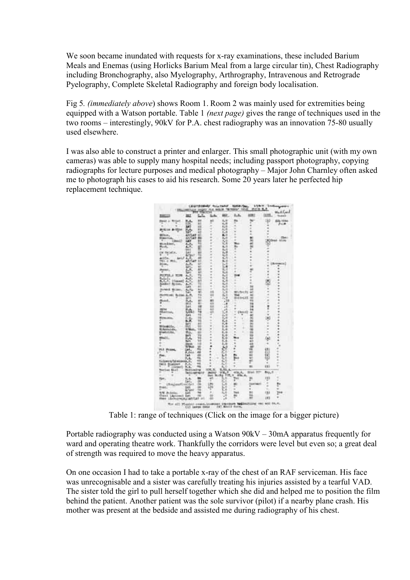We soon became inundated with requests for x-ray examinations, these included Barium Meals and Enemas (using Horlicks Barium Meal from a large circular tin), Chest Radiography including Bronchography, also Myelography, Arthrography, Intravenous and Retrograde Pyelography, Complete Skeletal Radiography and foreign body localisation.

Fig 5. (immediately above) shows Room 1. Room 2 was mainly used for extremities being equipped with a Watson portable. Table 1 (next page) gives the range of techniques used in the two rooms – interestingly, 90kV for P.A. chest radiography was an innovation 75-80 usually used elsewhere.

I was also able to construct a printer and enlarger. This small photographic unit (with my own cameras) was able to supply many hospital needs; including passport photography, copying radiographs for lecture purposes and medical photography – Major John Charnley often asked me to photograph his cases to aid his research. Some 20 years later he perfected hip replacement technique.



Table 1: range of techniques (Click on the image for a bigger picture)

Portable radiography was conducted using a Watson 90kV – 30mA apparatus frequently for ward and operating theatre work. Thankfully the corridors were level but even so; a great deal of strength was required to move the heavy apparatus.

On one occasion I had to take a portable x-ray of the chest of an RAF serviceman. His face was unrecognisable and a sister was carefully treating his injuries assisted by a tearful VAD. The sister told the girl to pull herself together which she did and helped me to position the film behind the patient. Another patient was the sole survivor (pilot) if a nearby plane crash. His mother was present at the bedside and assisted me during radiography of his chest.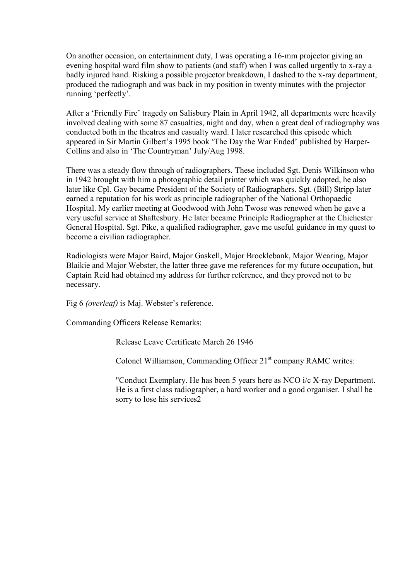On another occasion, on entertainment duty, I was operating a 16-mm projector giving an evening hospital ward film show to patients (and staff) when I was called urgently to x-ray a badly injured hand. Risking a possible projector breakdown, I dashed to the x-ray department, produced the radiograph and was back in my position in twenty minutes with the projector running 'perfectly'.

After a 'Friendly Fire' tragedy on Salisbury Plain in April 1942, all departments were heavily involved dealing with some 87 casualties, night and day, when a great deal of radiography was conducted both in the theatres and casualty ward. I later researched this episode which appeared in Sir Martin Gilbert's 1995 book 'The Day the War Ended' published by Harper-Collins and also in 'The Countryman' July/Aug 1998.

There was a steady flow through of radiographers. These included Sgt. Denis Wilkinson who in 1942 brought with him a photographic detail printer which was quickly adopted, he also later like Cpl. Gay became President of the Society of Radiographers. Sgt. (Bill) Stripp later earned a reputation for his work as principle radiographer of the National Orthopaedic Hospital. My earlier meeting at Goodwood with John Twose was renewed when he gave a very useful service at Shaftesbury. He later became Principle Radiographer at the Chichester General Hospital. Sgt. Pike, a qualified radiographer, gave me useful guidance in my quest to become a civilian radiographer.

Radiologists were Major Baird, Major Gaskell, Major Brocklebank, Major Wearing, Major Blaikie and Major Webster, the latter three gave me references for my future occupation, but Captain Reid had obtained my address for further reference, and they proved not to be necessary.

Fig 6 (overleaf) is Maj. Webster's reference.

Commanding Officers Release Remarks:

Release Leave Certificate March 26 1946

Colonel Williamson, Commanding Officer 21<sup>st</sup> company RAMC writes:

"Conduct Exemplary. He has been 5 years here as NCO i/c X-ray Department. He is a first class radiographer, a hard worker and a good organiser. I shall be sorry to lose his services2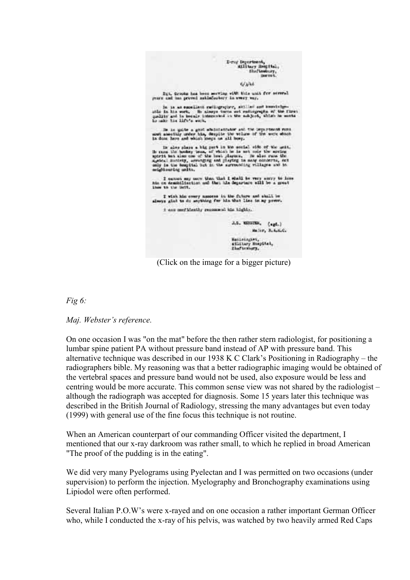|                          | Don't Department,<br>Eiliters Bouttal.<br>Shaftenbury,<br>Download C.                                                                                                                                                                                                                                              |
|--------------------------|--------------------------------------------------------------------------------------------------------------------------------------------------------------------------------------------------------------------------------------------------------------------------------------------------------------------|
|                          | 4/3/44                                                                                                                                                                                                                                                                                                             |
|                          | Bit, Grooks has been mering with this unit for several<br>years and has proved askinfectory in overy ver.                                                                                                                                                                                                          |
| he make his life's work. | In it as excellent rediugrator, sitiled out knowledge-<br>who in his work. He alsoys turns out radiographs of the first<br>quality and is keepiy interested in the auklest, which he wonte                                                                                                                         |
|                          | In in quite a good afternion and the personnels runs.<br>mut amouting under him, despite the willes of the work shock<br>in done have and which kners on all boxy.                                                                                                                                                 |
| seightsuring units.      | In also plays a big part in the social oide of the unit.<br>is runs the bookey teas, of which he is not only the noring<br>mortt but also can of the boat dispute. He also runs the<br>a wine Bonivey, arranging and claying in many condersa, not<br>only in the hospital but in the surrounding villages and in- |
| Lines to the light.      | I certain say mary than that I shall be very servy to lose.<br>his on demobilisation and that his departure will be a great                                                                                                                                                                                        |
|                          | I wish him every necess in the future and shall be<br>always glad to do anything for his that lies in my prove.                                                                                                                                                                                                    |
|                          | I can meridently resonant his lighty.                                                                                                                                                                                                                                                                              |
|                          | J.S. MESTRE,<br>Capta)<br>Major, R. A. C.C.                                                                                                                                                                                                                                                                        |
|                          | Banzenngart,<br>Millary Hospital,<br>Dhafterhary.                                                                                                                                                                                                                                                                  |
|                          |                                                                                                                                                                                                                                                                                                                    |

(Click on the image for a bigger picture)

Fig 6:

Maj. Webster's reference.

On one occasion I was "on the mat" before the then rather stern radiologist, for positioning a lumbar spine patient PA without pressure band instead of AP with pressure band. This alternative technique was described in our 1938 K C Clark's Positioning in Radiography – the radiographers bible. My reasoning was that a better radiographic imaging would be obtained of the vertebral spaces and pressure band would not be used, also exposure would be less and centring would be more accurate. This common sense view was not shared by the radiologist – although the radiograph was accepted for diagnosis. Some 15 years later this technique was described in the British Journal of Radiology, stressing the many advantages but even today (1999) with general use of the fine focus this technique is not routine.

When an American counterpart of our commanding Officer visited the department, I mentioned that our x-ray darkroom was rather small, to which he replied in broad American "The proof of the pudding is in the eating".

We did very many Pyelograms using Pyelectan and I was permitted on two occasions (under supervision) to perform the injection. Myelography and Bronchography examinations using Lipiodol were often performed.

Several Italian P.O.W's were x-rayed and on one occasion a rather important German Officer who, while I conducted the x-ray of his pelvis, was watched by two heavily armed Red Caps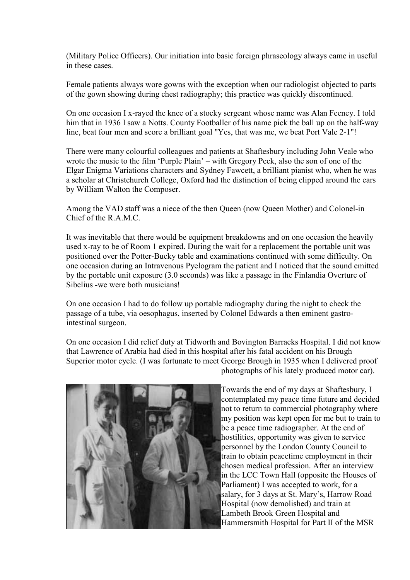(Military Police Officers). Our initiation into basic foreign phraseology always came in useful in these cases.

Female patients always wore gowns with the exception when our radiologist objected to parts of the gown showing during chest radiography; this practice was quickly discontinued.

On one occasion I x-rayed the knee of a stocky sergeant whose name was Alan Feeney. I told him that in 1936 I saw a Notts. County Footballer of his name pick the ball up on the half-way line, beat four men and score a brilliant goal "Yes, that was me, we beat Port Vale 2-1"!

There were many colourful colleagues and patients at Shaftesbury including John Veale who wrote the music to the film 'Purple Plain' – with Gregory Peck, also the son of one of the Elgar Enigma Variations characters and Sydney Fawcett, a brilliant pianist who, when he was a scholar at Christchurch College, Oxford had the distinction of being clipped around the ears by William Walton the Composer.

Among the VAD staff was a niece of the then Queen (now Queen Mother) and Colonel-in Chief of the R A M C.

It was inevitable that there would be equipment breakdowns and on one occasion the heavily used x-ray to be of Room 1 expired. During the wait for a replacement the portable unit was positioned over the Potter-Bucky table and examinations continued with some difficulty. On one occasion during an Intravenous Pyelogram the patient and I noticed that the sound emitted by the portable unit exposure (3.0 seconds) was like a passage in the Finlandia Overture of Sibelius -we were both musicians!

On one occasion I had to do follow up portable radiography during the night to check the passage of a tube, via oesophagus, inserted by Colonel Edwards a then eminent gastrointestinal surgeon.

On one occasion I did relief duty at Tidworth and Bovington Barracks Hospital. I did not know that Lawrence of Arabia had died in this hospital after his fatal accident on his Brough Superior motor cycle. (I was fortunate to meet George Brough in 1935 when I delivered proof photographs of his lately produced motor car).



Towards the end of my days at Shaftesbury, I contemplated my peace time future and decided not to return to commercial photography where my position was kept open for me but to train to be a peace time radiographer. At the end of hostilities, opportunity was given to service personnel by the London County Council to train to obtain peacetime employment in their chosen medical profession. After an interview in the LCC Town Hall (opposite the Houses of Parliament) I was accepted to work, for a salary, for 3 days at St. Mary's, Harrow Road Hospital (now demolished) and train at Lambeth Brook Green Hospital and Hammersmith Hospital for Part II of the MSR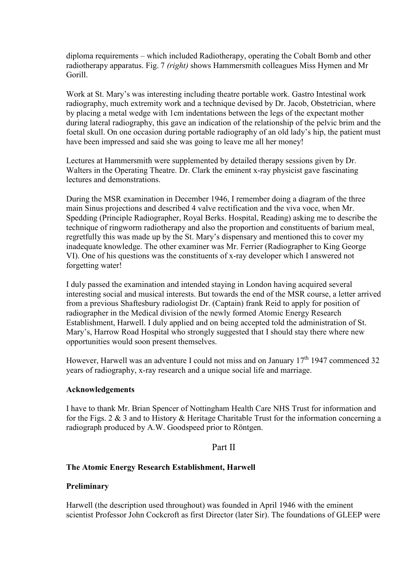diploma requirements – which included Radiotherapy, operating the Cobalt Bomb and other radiotherapy apparatus. Fig. 7 (right) shows Hammersmith colleagues Miss Hymen and Mr Gorill.

Work at St. Mary's was interesting including theatre portable work. Gastro Intestinal work radiography, much extremity work and a technique devised by Dr. Jacob, Obstetrician, where by placing a metal wedge with 1cm indentations between the legs of the expectant mother during lateral radiography, this gave an indication of the relationship of the pelvic brim and the foetal skull. On one occasion during portable radiography of an old lady's hip, the patient must have been impressed and said she was going to leave me all her money!

Lectures at Hammersmith were supplemented by detailed therapy sessions given by Dr. Walters in the Operating Theatre. Dr. Clark the eminent x-ray physicist gave fascinating lectures and demonstrations.

During the MSR examination in December 1946, I remember doing a diagram of the three main Sinus projections and described 4 valve rectification and the viva voce, when Mr. Spedding (Principle Radiographer, Royal Berks. Hospital, Reading) asking me to describe the technique of ringworm radiotherapy and also the proportion and constituents of barium meal, regretfully this was made up by the St. Mary's dispensary and mentioned this to cover my inadequate knowledge. The other examiner was Mr. Ferrier (Radiographer to King George VI). One of his questions was the constituents of x-ray developer which I answered not forgetting water!

I duly passed the examination and intended staying in London having acquired several interesting social and musical interests. But towards the end of the MSR course, a letter arrived from a previous Shaftesbury radiologist Dr. (Captain) frank Reid to apply for position of radiographer in the Medical division of the newly formed Atomic Energy Research Establishment, Harwell. I duly applied and on being accepted told the administration of St. Mary's, Harrow Road Hospital who strongly suggested that I should stay there where new opportunities would soon present themselves.

However, Harwell was an adventure I could not miss and on January  $17<sup>th</sup> 1947$  commenced 32 years of radiography, x-ray research and a unique social life and marriage.

#### Acknowledgements

I have to thank Mr. Brian Spencer of Nottingham Health Care NHS Trust for information and for the Figs. 2 & 3 and to History & Heritage Charitable Trust for the information concerning a radiograph produced by A.W. Goodspeed prior to Röntgen.

## Part II

#### The Atomic Energy Research Establishment, Harwell

#### Preliminary

Harwell (the description used throughout) was founded in April 1946 with the eminent scientist Professor John Cockcroft as first Director (later Sir). The foundations of GLEEP were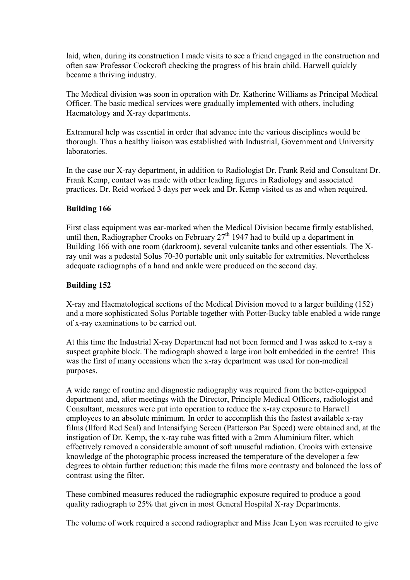laid, when, during its construction I made visits to see a friend engaged in the construction and often saw Professor Cockcroft checking the progress of his brain child. Harwell quickly became a thriving industry.

The Medical division was soon in operation with Dr. Katherine Williams as Principal Medical Officer. The basic medical services were gradually implemented with others, including Haematology and X-ray departments.

Extramural help was essential in order that advance into the various disciplines would be thorough. Thus a healthy liaison was established with Industrial, Government and University **laboratories** 

In the case our X-ray department, in addition to Radiologist Dr. Frank Reid and Consultant Dr. Frank Kemp, contact was made with other leading figures in Radiology and associated practices. Dr. Reid worked 3 days per week and Dr. Kemp visited us as and when required.

#### Building 166

First class equipment was ear-marked when the Medical Division became firmly established, until then, Radiographer Crooks on February  $27<sup>th</sup>$  1947 had to build up a department in Building 166 with one room (darkroom), several vulcanite tanks and other essentials. The Xray unit was a pedestal Solus 70-30 portable unit only suitable for extremities. Nevertheless adequate radiographs of a hand and ankle were produced on the second day.

#### Building 152

X-ray and Haematological sections of the Medical Division moved to a larger building (152) and a more sophisticated Solus Portable together with Potter-Bucky table enabled a wide range of x-ray examinations to be carried out.

At this time the Industrial X-ray Department had not been formed and I was asked to x-ray a suspect graphite block. The radiograph showed a large iron bolt embedded in the centre! This was the first of many occasions when the x-ray department was used for non-medical purposes.

A wide range of routine and diagnostic radiography was required from the better-equipped department and, after meetings with the Director, Principle Medical Officers, radiologist and Consultant, measures were put into operation to reduce the x-ray exposure to Harwell employees to an absolute minimum. In order to accomplish this the fastest available x-ray films (Ilford Red Seal) and Intensifying Screen (Patterson Par Speed) were obtained and, at the instigation of Dr. Kemp, the x-ray tube was fitted with a 2mm Aluminium filter, which effectively removed a considerable amount of soft unuseful radiation. Crooks with extensive knowledge of the photographic process increased the temperature of the developer a few degrees to obtain further reduction; this made the films more contrasty and balanced the loss of contrast using the filter.

These combined measures reduced the radiographic exposure required to produce a good quality radiograph to 25% that given in most General Hospital X-ray Departments.

The volume of work required a second radiographer and Miss Jean Lyon was recruited to give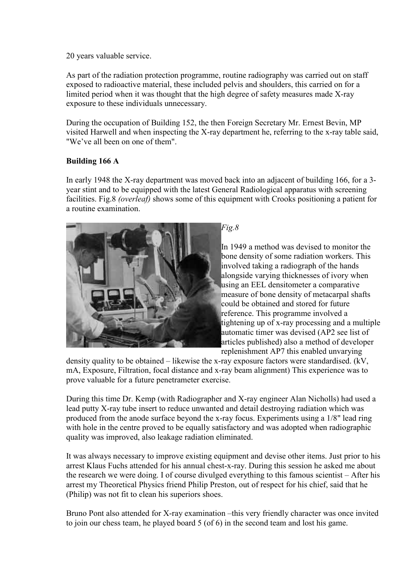20 years valuable service.

As part of the radiation protection programme, routine radiography was carried out on staff exposed to radioactive material, these included pelvis and shoulders, this carried on for a limited period when it was thought that the high degree of safety measures made X-ray exposure to these individuals unnecessary.

During the occupation of Building 152, the then Foreign Secretary Mr. Ernest Bevin, MP visited Harwell and when inspecting the X-ray department he, referring to the x-ray table said, "We've all been on one of them".

# Building 166 A

In early 1948 the X-ray department was moved back into an adjacent of building 166, for a 3 year stint and to be equipped with the latest General Radiological apparatus with screening facilities. Fig.8 *(overleaf)* shows some of this equipment with Crooks positioning a patient for a routine examination.



 $Fig.8$ 

In 1949 a method was devised to monitor the bone density of some radiation workers. This involved taking a radiograph of the hands alongside varying thicknesses of ivory when using an EEL densitometer a comparative measure of bone density of metacarpal shafts could be obtained and stored for future reference. This programme involved a tightening up of x-ray processing and a multiple automatic timer was devised (AP2 see list of articles published) also a method of developer replenishment AP7 this enabled unvarying

density quality to be obtained – likewise the x-ray exposure factors were standardised. (kV, mA, Exposure, Filtration, focal distance and x-ray beam alignment) This experience was to prove valuable for a future penetrameter exercise.

During this time Dr. Kemp (with Radiographer and X-ray engineer Alan Nicholls) had used a lead putty X-ray tube insert to reduce unwanted and detail destroying radiation which was produced from the anode surface beyond the x-ray focus. Experiments using a 1/8" lead ring with hole in the centre proved to be equally satisfactory and was adopted when radiographic quality was improved, also leakage radiation eliminated.

It was always necessary to improve existing equipment and devise other items. Just prior to his arrest Klaus Fuchs attended for his annual chest-x-ray. During this session he asked me about the research we were doing. I of course divulged everything to this famous scientist – After his arrest my Theoretical Physics friend Philip Preston, out of respect for his chief, said that he (Philip) was not fit to clean his superiors shoes.

Bruno Pont also attended for X-ray examination –this very friendly character was once invited to join our chess team, he played board 5 (of 6) in the second team and lost his game.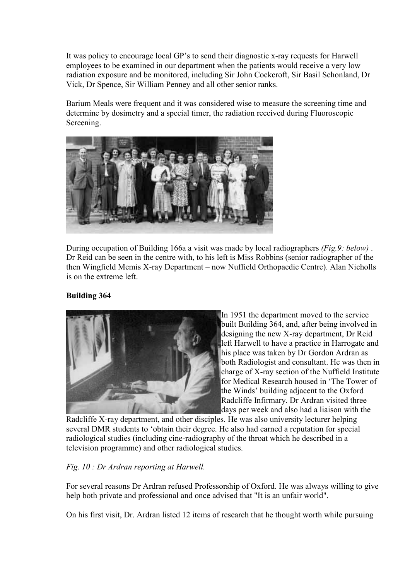It was policy to encourage local GP's to send their diagnostic x-ray requests for Harwell employees to be examined in our department when the patients would receive a very low radiation exposure and be monitored, including Sir John Cockcroft, Sir Basil Schonland, Dr Vick, Dr Spence, Sir William Penney and all other senior ranks.

Barium Meals were frequent and it was considered wise to measure the screening time and determine by dosimetry and a special timer, the radiation received during Fluoroscopic Screening.



During occupation of Building 166a a visit was made by local radiographers *(Fig.9: below)*. Dr Reid can be seen in the centre with, to his left is Miss Robbins (senior radiographer of the then Wingfield Memis X-ray Department – now Nuffield Orthopaedic Centre). Alan Nicholls is on the extreme left.

# Building 364



In 1951 the department moved to the service built Building 364, and, after being involved in designing the new X-ray department, Dr Reid left Harwell to have a practice in Harrogate and his place was taken by Dr Gordon Ardran as both Radiologist and consultant. He was then in charge of X-ray section of the Nuffield Institute for Medical Research housed in 'The Tower of the Winds' building adjacent to the Oxford Radcliffe Infirmary. Dr Ardran visited three days per week and also had a liaison with the

Radcliffe X-ray department, and other disciples. He was also university lecturer helping several DMR students to 'obtain their degree. He also had earned a reputation for special radiological studies (including cine-radiography of the throat which he described in a television programme) and other radiological studies.

## Fig. 10 : Dr Ardran reporting at Harwell.

For several reasons Dr Ardran refused Professorship of Oxford. He was always willing to give help both private and professional and once advised that "It is an unfair world".

On his first visit, Dr. Ardran listed 12 items of research that he thought worth while pursuing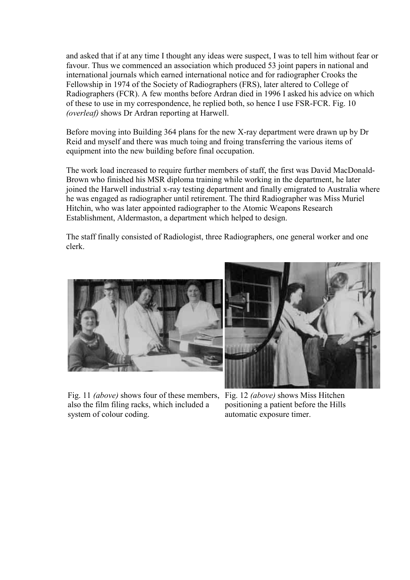and asked that if at any time I thought any ideas were suspect, I was to tell him without fear or favour. Thus we commenced an association which produced 53 joint papers in national and international journals which earned international notice and for radiographer Crooks the Fellowship in 1974 of the Society of Radiographers (FRS), later altered to College of Radiographers (FCR). A few months before Ardran died in 1996 I asked his advice on which of these to use in my correspondence, he replied both, so hence I use FSR-FCR. Fig. 10 (overleaf) shows Dr Ardran reporting at Harwell.

Before moving into Building 364 plans for the new X-ray department were drawn up by Dr Reid and myself and there was much toing and froing transferring the various items of equipment into the new building before final occupation.

The work load increased to require further members of staff, the first was David MacDonald-Brown who finished his MSR diploma training while working in the department, he later joined the Harwell industrial x-ray testing department and finally emigrated to Australia where he was engaged as radiographer until retirement. The third Radiographer was Miss Muriel Hitchin, who was later appointed radiographer to the Atomic Weapons Research Establishment, Aldermaston, a department which helped to design.

The staff finally consisted of Radiologist, three Radiographers, one general worker and one clerk.





Fig. 11 *(above)* shows four of these members, Fig. 12 *(above)* shows Miss Hitchen also the film filing racks, which included a system of colour coding.

positioning a patient before the Hills automatic exposure timer.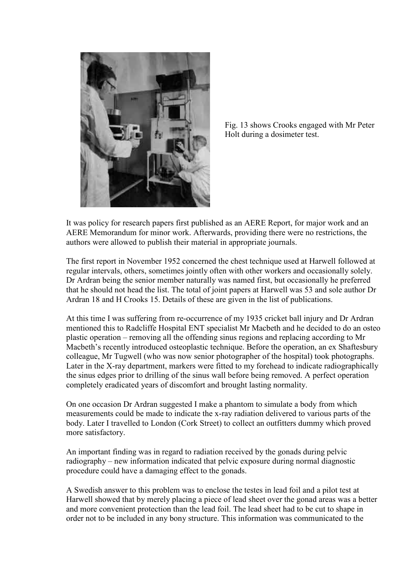

Fig. 13 shows Crooks engaged with Mr Peter Holt during a dosimeter test.

It was policy for research papers first published as an AERE Report, for major work and an AERE Memorandum for minor work. Afterwards, providing there were no restrictions, the authors were allowed to publish their material in appropriate journals.

The first report in November 1952 concerned the chest technique used at Harwell followed at regular intervals, others, sometimes jointly often with other workers and occasionally solely. Dr Ardran being the senior member naturally was named first, but occasionally he preferred that he should not head the list. The total of joint papers at Harwell was 53 and sole author Dr Ardran 18 and H Crooks 15. Details of these are given in the list of publications.

At this time I was suffering from re-occurrence of my 1935 cricket ball injury and Dr Ardran mentioned this to Radcliffe Hospital ENT specialist Mr Macbeth and he decided to do an osteo plastic operation – removing all the offending sinus regions and replacing according to Mr Macbeth's recently introduced osteoplastic technique. Before the operation, an ex Shaftesbury colleague, Mr Tugwell (who was now senior photographer of the hospital) took photographs. Later in the X-ray department, markers were fitted to my forehead to indicate radiographically the sinus edges prior to drilling of the sinus wall before being removed. A perfect operation completely eradicated years of discomfort and brought lasting normality.

On one occasion Dr Ardran suggested I make a phantom to simulate a body from which measurements could be made to indicate the x-ray radiation delivered to various parts of the body. Later I travelled to London (Cork Street) to collect an outfitters dummy which proved more satisfactory.

An important finding was in regard to radiation received by the gonads during pelvic radiography – new information indicated that pelvic exposure during normal diagnostic procedure could have a damaging effect to the gonads.

A Swedish answer to this problem was to enclose the testes in lead foil and a pilot test at Harwell showed that by merely placing a piece of lead sheet over the gonad areas was a better and more convenient protection than the lead foil. The lead sheet had to be cut to shape in order not to be included in any bony structure. This information was communicated to the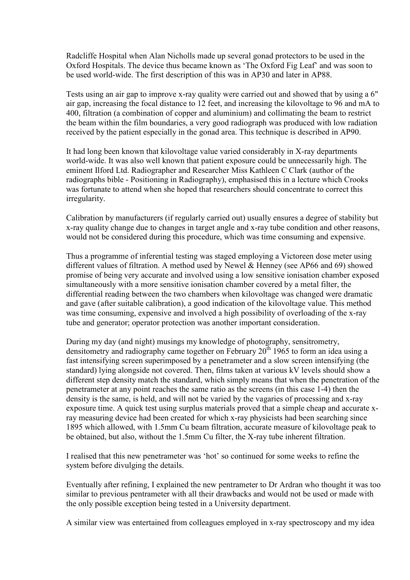Radcliffe Hospital when Alan Nicholls made up several gonad protectors to be used in the Oxford Hospitals. The device thus became known as 'The Oxford Fig Leaf' and was soon to be used world-wide. The first description of this was in AP30 and later in AP88.

Tests using an air gap to improve x-ray quality were carried out and showed that by using a 6" air gap, increasing the focal distance to 12 feet, and increasing the kilovoltage to 96 and mA to 400, filtration (a combination of copper and aluminium) and collimating the beam to restrict the beam within the film boundaries, a very good radiograph was produced with low radiation received by the patient especially in the gonad area. This technique is described in AP90.

It had long been known that kilovoltage value varied considerably in X-ray departments world-wide. It was also well known that patient exposure could be unnecessarily high. The eminent Ilford Ltd. Radiographer and Researcher Miss Kathleen C Clark (author of the radiographs bible - Positioning in Radiography), emphasised this in a lecture which Crooks was fortunate to attend when she hoped that researchers should concentrate to correct this irregularity.

Calibration by manufacturers (if regularly carried out) usually ensures a degree of stability but x-ray quality change due to changes in target angle and x-ray tube condition and other reasons, would not be considered during this procedure, which was time consuming and expensive.

Thus a programme of inferential testing was staged employing a Victoreen dose meter using different values of filtration. A method used by Newel & Henney (see AP66 and 69) showed promise of being very accurate and involved using a low sensitive ionisation chamber exposed simultaneously with a more sensitive ionisation chamber covered by a metal filter, the differential reading between the two chambers when kilovoltage was changed were dramatic and gave (after suitable calibration), a good indication of the kilovoltage value. This method was time consuming, expensive and involved a high possibility of overloading of the x-ray tube and generator; operator protection was another important consideration.

During my day (and night) musings my knowledge of photography, sensitrometry, densitometry and radiography came together on February  $20^{th}$  1965 to form an idea using a fast intensifying screen superimposed by a penetrameter and a slow screen intensifying (the standard) lying alongside not covered. Then, films taken at various kV levels should show a different step density match the standard, which simply means that when the penetration of the penetrameter at any point reaches the same ratio as the screens (in this case 1-4) then the density is the same, is held, and will not be varied by the vagaries of processing and x-ray exposure time. A quick test using surplus materials proved that a simple cheap and accurate xray measuring device had been created for which x-ray physicists had been searching since 1895 which allowed, with 1.5mm Cu beam filtration, accurate measure of kilovoltage peak to be obtained, but also, without the 1.5mm Cu filter, the X-ray tube inherent filtration.

I realised that this new penetrameter was 'hot' so continued for some weeks to refine the system before divulging the details.

Eventually after refining, I explained the new pentrameter to Dr Ardran who thought it was too similar to previous pentrameter with all their drawbacks and would not be used or made with the only possible exception being tested in a University department.

A similar view was entertained from colleagues employed in x-ray spectroscopy and my idea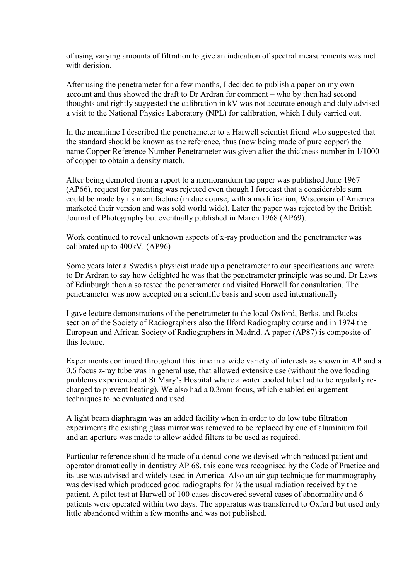of using varying amounts of filtration to give an indication of spectral measurements was met with derision

After using the penetrameter for a few months, I decided to publish a paper on my own account and thus showed the draft to Dr Ardran for comment – who by then had second thoughts and rightly suggested the calibration in kV was not accurate enough and duly advised a visit to the National Physics Laboratory (NPL) for calibration, which I duly carried out.

In the meantime I described the penetrameter to a Harwell scientist friend who suggested that the standard should be known as the reference, thus (now being made of pure copper) the name Copper Reference Number Penetrameter was given after the thickness number in 1/1000 of copper to obtain a density match.

After being demoted from a report to a memorandum the paper was published June 1967 (AP66), request for patenting was rejected even though I forecast that a considerable sum could be made by its manufacture (in due course, with a modification, Wisconsin of America marketed their version and was sold world wide). Later the paper was rejected by the British Journal of Photography but eventually published in March 1968 (AP69).

Work continued to reveal unknown aspects of x-ray production and the penetrameter was calibrated up to 400kV. (AP96)

Some years later a Swedish physicist made up a penetrameter to our specifications and wrote to Dr Ardran to say how delighted he was that the penetrameter principle was sound. Dr Laws of Edinburgh then also tested the penetrameter and visited Harwell for consultation. The penetrameter was now accepted on a scientific basis and soon used internationally

I gave lecture demonstrations of the penetrameter to the local Oxford, Berks. and Bucks section of the Society of Radiographers also the Ilford Radiography course and in 1974 the European and African Society of Radiographers in Madrid. A paper (AP87) is composite of this lecture.

Experiments continued throughout this time in a wide variety of interests as shown in AP and a 0.6 focus z-ray tube was in general use, that allowed extensive use (without the overloading problems experienced at St Mary's Hospital where a water cooled tube had to be regularly recharged to prevent heating). We also had a 0.3mm focus, which enabled enlargement techniques to be evaluated and used.

A light beam diaphragm was an added facility when in order to do low tube filtration experiments the existing glass mirror was removed to be replaced by one of aluminium foil and an aperture was made to allow added filters to be used as required.

Particular reference should be made of a dental cone we devised which reduced patient and operator dramatically in dentistry AP 68, this cone was recognised by the Code of Practice and its use was advised and widely used in America. Also an air gap technique for mammography was devised which produced good radiographs for  $\frac{1}{4}$  the usual radiation received by the patient. A pilot test at Harwell of 100 cases discovered several cases of abnormality and 6 patients were operated within two days. The apparatus was transferred to Oxford but used only little abandoned within a few months and was not published.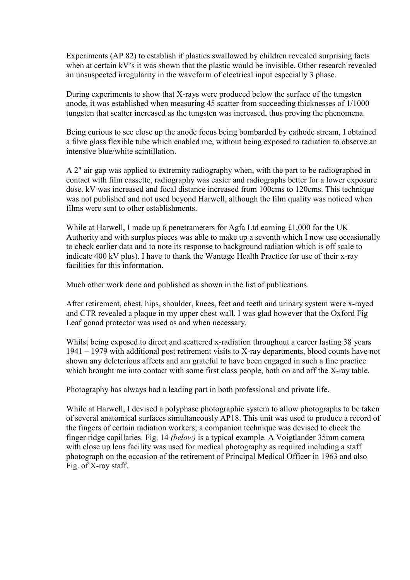Experiments (AP 82) to establish if plastics swallowed by children revealed surprising facts when at certain kV's it was shown that the plastic would be invisible. Other research revealed an unsuspected irregularity in the waveform of electrical input especially 3 phase.

During experiments to show that X-rays were produced below the surface of the tungsten anode, it was established when measuring 45 scatter from succeeding thicknesses of 1/1000 tungsten that scatter increased as the tungsten was increased, thus proving the phenomena.

Being curious to see close up the anode focus being bombarded by cathode stream, I obtained a fibre glass flexible tube which enabled me, without being exposed to radiation to observe an intensive blue/white scintillation.

A 2" air gap was applied to extremity radiography when, with the part to be radiographed in contact with film cassette, radiography was easier and radiographs better for a lower exposure dose. kV was increased and focal distance increased from 100cms to 120cms. This technique was not published and not used beyond Harwell, although the film quality was noticed when films were sent to other establishments.

While at Harwell, I made up 6 penetrameters for Agfa Ltd earning £1,000 for the UK Authority and with surplus pieces was able to make up a seventh which I now use occasionally to check earlier data and to note its response to background radiation which is off scale to indicate 400 kV plus). I have to thank the Wantage Health Practice for use of their x-ray facilities for this information.

Much other work done and published as shown in the list of publications.

After retirement, chest, hips, shoulder, knees, feet and teeth and urinary system were x-rayed and CTR revealed a plaque in my upper chest wall. I was glad however that the Oxford Fig Leaf gonad protector was used as and when necessary.

Whilst being exposed to direct and scattered x-radiation throughout a career lasting 38 years 1941 – 1979 with additional post retirement visits to X-ray departments, blood counts have not shown any deleterious affects and am grateful to have been engaged in such a fine practice which brought me into contact with some first class people, both on and off the X-ray table.

Photography has always had a leading part in both professional and private life.

While at Harwell, I devised a polyphase photographic system to allow photographs to be taken of several anatomical surfaces simultaneously AP18. This unit was used to produce a record of the fingers of certain radiation workers; a companion technique was devised to check the finger ridge capillaries. Fig. 14 (below) is a typical example. A Voigtlander 35mm camera with close up lens facility was used for medical photography as required including a staff photograph on the occasion of the retirement of Principal Medical Officer in 1963 and also Fig. of X-ray staff.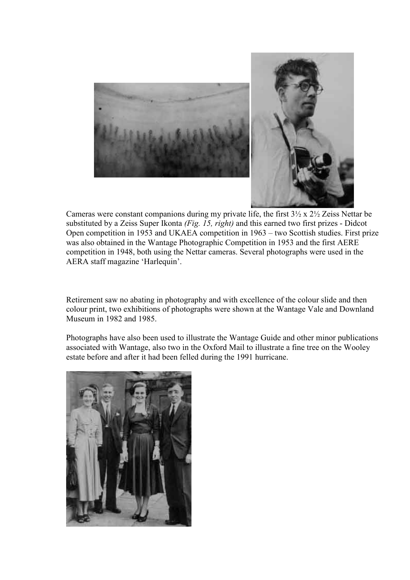

Cameras were constant companions during my private life, the first 3½ x 2½ Zeiss Nettar be substituted by a Zeiss Super Ikonta (Fig. 15, right) and this earned two first prizes - Didcot Open competition in 1953 and UKAEA competition in 1963 – two Scottish studies. First prize was also obtained in the Wantage Photographic Competition in 1953 and the first AERE competition in 1948, both using the Nettar cameras. Several photographs were used in the AERA staff magazine 'Harlequin'.

Retirement saw no abating in photography and with excellence of the colour slide and then colour print, two exhibitions of photographs were shown at the Wantage Vale and Downland Museum in 1982 and 1985.

Photographs have also been used to illustrate the Wantage Guide and other minor publications associated with Wantage, also two in the Oxford Mail to illustrate a fine tree on the Wooley estate before and after it had been felled during the 1991 hurricane.

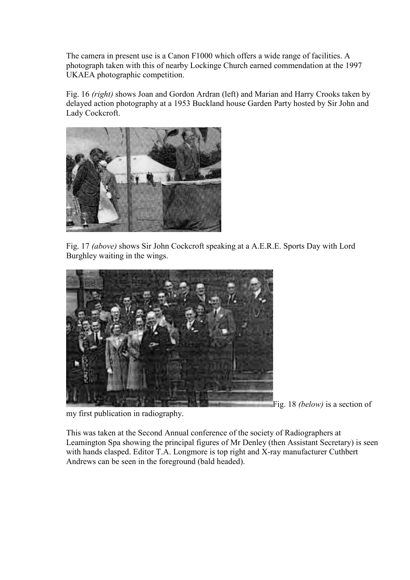The camera in present use is a Canon F1000 which offers a wide range of facilities. A photograph taken with this of nearby Lockinge Church earned commendation at the 1997 UKAEA photographic competition.

Fig. 16 (right) shows Joan and Gordon Ardran (left) and Marian and Harry Crooks taken by delayed action photography at a 1953 Buckland house Garden Party hosted by Sir John and Lady Cockcroft.



Fig. 17 (above) shows Sir John Cockcroft speaking at a A.E.R.E. Sports Day with Lord Burghley waiting in the wings.



Fig. 18 (below) is a section of

my first publication in radiography.

This was taken at the Second Annual conference of the society of Radiographers at Leamington Spa showing the principal figures of Mr Denley (then Assistant Secretary) is seen with hands clasped. Editor T.A. Longmore is top right and X-ray manufacturer Cuthbert Andrews can be seen in the foreground (bald headed).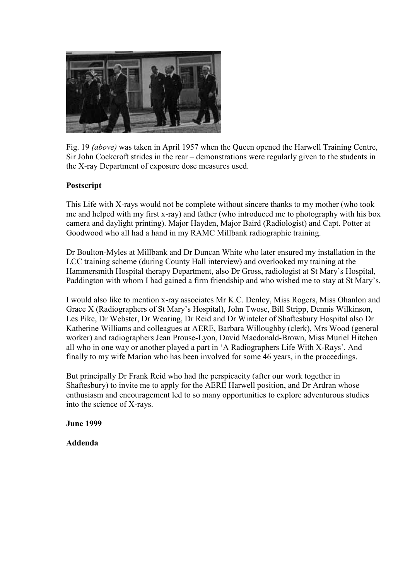

Fig. 19 (above) was taken in April 1957 when the Queen opened the Harwell Training Centre, Sir John Cockcroft strides in the rear – demonstrations were regularly given to the students in the X-ray Department of exposure dose measures used.

## Postscript

This Life with X-rays would not be complete without sincere thanks to my mother (who took me and helped with my first x-ray) and father (who introduced me to photography with his box camera and daylight printing). Major Hayden, Major Baird (Radiologist) and Capt. Potter at Goodwood who all had a hand in my RAMC Millbank radiographic training.

Dr Boulton-Myles at Millbank and Dr Duncan White who later ensured my installation in the LCC training scheme (during County Hall interview) and overlooked my training at the Hammersmith Hospital therapy Department, also Dr Gross, radiologist at St Mary's Hospital, Paddington with whom I had gained a firm friendship and who wished me to stay at St Mary's.

I would also like to mention x-ray associates Mr K.C. Denley, Miss Rogers, Miss Ohanlon and Grace X (Radiographers of St Mary's Hospital), John Twose, Bill Stripp, Dennis Wilkinson, Les Pike, Dr Webster, Dr Wearing, Dr Reid and Dr Winteler of Shaftesbury Hospital also Dr Katherine Williams and colleagues at AERE, Barbara Willoughby (clerk), Mrs Wood (general worker) and radiographers Jean Prouse-Lyon, David Macdonald-Brown, Miss Muriel Hitchen all who in one way or another played a part in 'A Radiographers Life With X-Rays'. And finally to my wife Marian who has been involved for some 46 years, in the proceedings.

But principally Dr Frank Reid who had the perspicacity (after our work together in Shaftesbury) to invite me to apply for the AERE Harwell position, and Dr Ardran whose enthusiasm and encouragement led to so many opportunities to explore adventurous studies into the science of X-rays.

June 1999

Addenda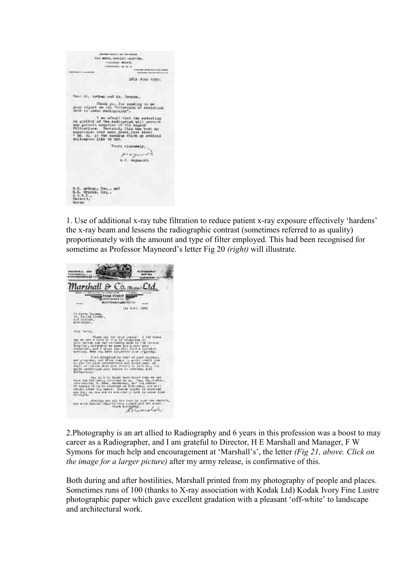$\begin{array}{c} \texttt{PHE} & \texttt{DHE} & \texttt{DHE} & \texttt{DPE} \\ \texttt{DHE} & \texttt{BDF} & \texttt{DHE} & \texttt{DFE} & \texttt{DBE} & \texttt{DBE} \\ & \texttt{DHE} & \texttt{DBE} & \texttt{DBE} & \texttt{DBE} \\ \end{array}$ 26:1 Jun 1954. their Mr. Ardness and Mr. Greene. Thema you for conding to me<br>your report on the "estention of redisting<br>done in obtain redispracing". now it can evaluate that the reduction<br>in gradity of the redusgraph will prevent<br>any general simples of the higher<br>filtradium specially this has been as<br>expressions your more peak that source and the special of the source<br> Tours winnerwir.  $p_{\text{target}}$ 9, 8, ardraf, 186, , sao<br>H.B. Crocks, 196, ,<br>A.E.R.Y.,

1. Use of additional x-ray tube filtration to reduce patient x-ray exposure effectively 'hardens' the x-ray beam and lessens the radiographic contrast (sometimes referred to as quality) proportionately with the amount and type of filter employed. This had been recognised for sometime as Professor Mayneord's letter Fig 20 (right) will illustrate.



2.Photography is an art allied to Radiography and 6 years in this profession was a boost to may career as a Radiographer, and I am grateful to Director, H E Marshall and Manager, F W Symons for much help and encouragement at 'Marshall's', the letter (Fig 21, above. Click on the image for a larger picture) after my army release, is confirmative of this.

Both during and after hostilities, Marshall printed from my photography of people and places. Sometimes runs of 100 (thanks to X-ray association with Kodak Ltd) Kodak Ivory Fine Lustre photographic paper which gave excellent gradation with a pleasant 'off-white' to landscape and architectural work.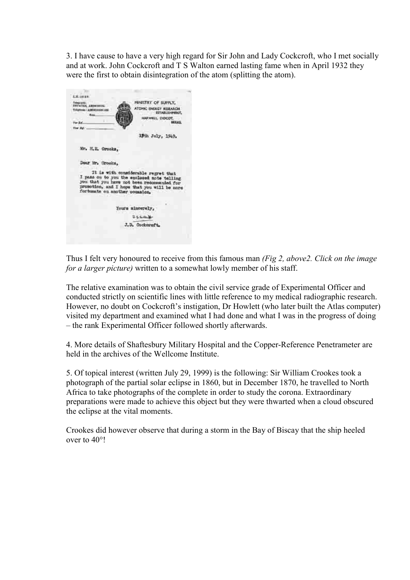3. I have cause to have a very high regard for Sir John and Lady Cockcroft, who I met socially and at work. John Cockcroft and T S Walton earned lasting fame when in April 1932 they were the first to obtain disintegration of the atom (splitting the atom).



Thus I felt very honoured to receive from this famous man (Fig 2, above 2. Click on the image for a larger picture) written to a somewhat lowly member of his staff.

The relative examination was to obtain the civil service grade of Experimental Officer and conducted strictly on scientific lines with little reference to my medical radiographic research. However, no doubt on Cockcroft's instigation, Dr Howlett (who later built the Atlas computer) visited my department and examined what I had done and what I was in the progress of doing – the rank Experimental Officer followed shortly afterwards.

4. More details of Shaftesbury Military Hospital and the Copper-Reference Penetrameter are held in the archives of the Wellcome Institute.

5. Of topical interest (written July 29, 1999) is the following: Sir William Crookes took a photograph of the partial solar eclipse in 1860, but in December 1870, he travelled to North Africa to take photographs of the complete in order to study the corona. Extraordinary preparations were made to achieve this object but they were thwarted when a cloud obscured the eclipse at the vital moments.

Crookes did however observe that during a storm in the Bay of Biscay that the ship heeled over to 40°!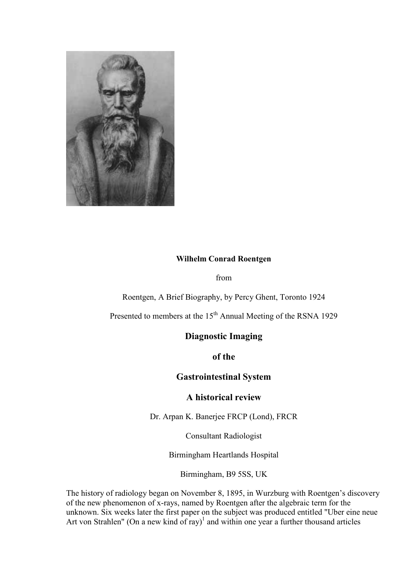

# Wilhelm Conrad Roentgen

from

Roentgen, A Brief Biography, by Percy Ghent, Toronto 1924

Presented to members at the 15<sup>th</sup> Annual Meeting of the RSNA 1929

# Diagnostic Imaging

of the

Gastrointestinal System

## A historical review

Dr. Arpan K. Banerjee FRCP (Lond), FRCR

Consultant Radiologist

Birmingham Heartlands Hospital

Birmingham, B9 5SS, UK

The history of radiology began on November 8, 1895, in Wurzburg with Roentgen's discovery of the new phenomenon of x-rays, named by Roentgen after the algebraic term for the unknown. Six weeks later the first paper on the subject was produced entitled "Uber eine neue Art von Strahlen" (On a new kind of ray)<sup>1</sup> and within one year a further thousand articles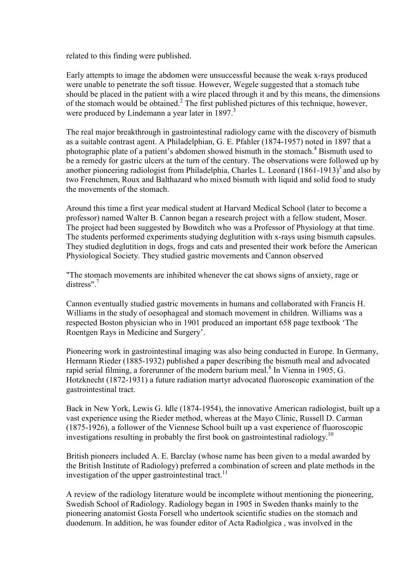related to this finding were published.

Early attempts to image the abdomen were unsuccessful because the weak x-rays produced were unable to penetrate the soft tissue. However, Wegele suggested that a stomach tube should be placed in the patient with a wire placed through it and by this means, the dimensions of the stomach would be obtained. $2$  The first published pictures of this technique, however, were produced by Lindemann a year later in 1897.<sup>3</sup>

The real major breakthrough in gastrointestinal radiology came with the discovery of bismuth as a suitable contrast agent. A Philadelphian, G. E. Pfahler (1874-1957) noted in 1897 that a photographic plate of a patient's abdomen showed bismuth in the stomach.<sup>4</sup> Bismuth used to be a remedy for gastric ulcers at the turn of the century. The observations were followed up by another pioneering radiologist from Philadelphia, Charles L. Leonard  $(1861-1913)^5$  and also by two Frenchmen, Roux and Balthazard who mixed bismuth with liquid and solid food to study the movements of the stomach.

Around this time a first year medical student at Harvard Medical School (later to become a professor) named Walter B. Cannon began a research project with a fellow student, Moser. The project had been suggested by Bowditch who was a Professor of Physiology at that time. The students performed experiments studying deglutition with x-rays using bismuth capsules. They studied deglutition in dogs, frogs and cats and presented their work before the American Physiological Society. They studied gastric movements and Cannon observed

"The stomach movements are inhibited whenever the cat shows signs of anxiety, rage or distress"<sup>7</sup>

Cannon eventually studied gastric movements in humans and collaborated with Francis H. Williams in the study of oesophageal and stomach movement in children. Williams was a respected Boston physician who in 1901 produced an important 658 page textbook 'The Roentgen Rays in Medicine and Surgery'.

Pioneering work in gastrointestinal imaging was also being conducted in Europe. In Germany, Hermann Rieder (1885-1932) published a paper describing the bismuth meal and advocated rapid serial filming, a forerunner of the modern barium meal.<sup>8</sup> In Vienna in 1905, G. Hotzknecht (1872-1931) a future radiation martyr advocated fluoroscopic examination of the gastrointestinal tract.

Back in New York, Lewis G. Idle (1874-1954), the innovative American radiologist, built up a vast experience using the Rieder method, whereas at the Mayo Clinic, Russell D. Carman (1875-1926), a follower of the Viennese School built up a vast experience of fluoroscopic investigations resulting in probably the first book on gastrointestinal radiology.<sup>10</sup>

British pioneers included A. E. Barclay (whose name has been given to a medal awarded by the British Institute of Radiology) preferred a combination of screen and plate methods in the investigation of the upper gastrointestinal tract.<sup>11</sup>

A review of the radiology literature would be incomplete without mentioning the pioneering, Swedish School of Radiology. Radiology began in 1905 in Sweden thanks mainly to the pioneering anatomist Gosta Forsell who undertook scientific studies on the stomach and duodenum. In addition, he was founder editor of Acta Radiolgica , was involved in the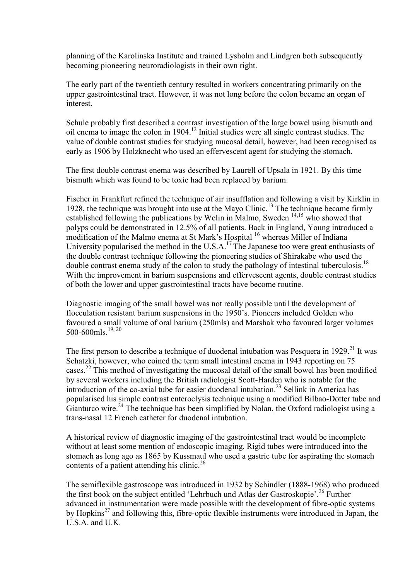planning of the Karolinska Institute and trained Lysholm and Lindgren both subsequently becoming pioneering neuroradiologists in their own right.

The early part of the twentieth century resulted in workers concentrating primarily on the upper gastrointestinal tract. However, it was not long before the colon became an organ of interest.

Schule probably first described a contrast investigation of the large bowel using bismuth and oil enema to image the colon in 1904.<sup>12</sup> Initial studies were all single contrast studies. The value of double contrast studies for studying mucosal detail, however, had been recognised as early as 1906 by Holzknecht who used an effervescent agent for studying the stomach.

The first double contrast enema was described by Laurell of Upsala in 1921. By this time bismuth which was found to be toxic had been replaced by barium.

Fischer in Frankfurt refined the technique of air insufflation and following a visit by Kirklin in 1928, the technique was brought into use at the Mayo Clinic.<sup>13</sup> The technique became firmly established following the publications by Welin in Malmo, Sweden  $14,15$  who showed that polyps could be demonstrated in 12.5% of all patients. Back in England, Young introduced a modification of the Malmo enema at St Mark's Hospital <sup>16</sup> whereas Miller of Indiana University popularised the method in the U.S.A.<sup>17</sup>The Japanese too were great enthusiasts of the double contrast technique following the pioneering studies of Shirakabe who used the double contrast enema study of the colon to study the pathology of intestinal tuberculosis.<sup>18</sup> With the improvement in barium suspensions and effervescent agents, double contrast studies of both the lower and upper gastrointestinal tracts have become routine.

Diagnostic imaging of the small bowel was not really possible until the development of flocculation resistant barium suspensions in the 1950's. Pioneers included Golden who favoured a small volume of oral barium (250mls) and Marshak who favoured larger volumes 500-600mls $^{19, 20}$ 

The first person to describe a technique of duodenal intubation was Pesquera in 1929.<sup>21</sup> It was Schatzki, however, who coined the term small intestinal enema in 1943 reporting on 75 cases.<sup>22</sup> This method of investigating the mucosal detail of the small bowel has been modified by several workers including the British radiologist Scott-Harden who is notable for the introduction of the co-axial tube for easier duodenal intubation.<sup>23</sup> Sellink in America has popularised his simple contrast enteroclysis technique using a modified Bilbao-Dotter tube and Gianturco wire.<sup>24</sup> The technique has been simplified by Nolan, the Oxford radiologist using a trans-nasal 12 French catheter for duodenal intubation.

A historical review of diagnostic imaging of the gastrointestinal tract would be incomplete without at least some mention of endoscopic imaging. Rigid tubes were introduced into the stomach as long ago as 1865 by Kussmaul who used a gastric tube for aspirating the stomach contents of a patient attending his clinic.<sup>26</sup>

The semiflexible gastroscope was introduced in 1932 by Schindler (1888-1968) who produced the first book on the subject entitled 'Lehrbuch und Atlas der Gastroskopie'.<sup>26</sup> Further advanced in instrumentation were made possible with the development of fibre-optic systems by Hopkins<sup>27</sup> and following this, fibre-optic flexible instruments were introduced in Japan, the  $U.S.A.$  and  $U.K.$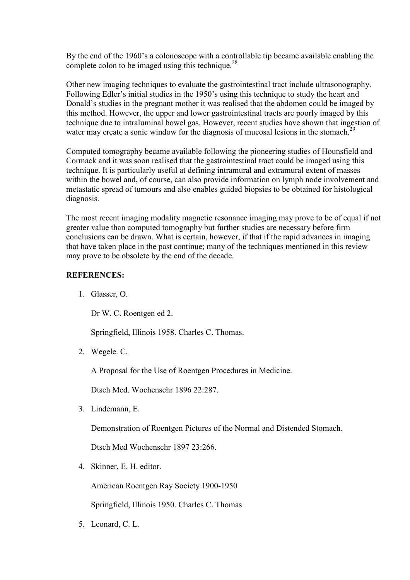By the end of the 1960's a colonoscope with a controllable tip became available enabling the complete colon to be imaged using this technique.<sup>28</sup>

Other new imaging techniques to evaluate the gastrointestinal tract include ultrasonography. Following Edler's initial studies in the 1950's using this technique to study the heart and Donald's studies in the pregnant mother it was realised that the abdomen could be imaged by this method. However, the upper and lower gastrointestinal tracts are poorly imaged by this technique due to intraluminal bowel gas. However, recent studies have shown that ingestion of water may create a sonic window for the diagnosis of mucosal lesions in the stomach.<sup>29</sup>

Computed tomography became available following the pioneering studies of Hounsfield and Cormack and it was soon realised that the gastrointestinal tract could be imaged using this technique. It is particularly useful at defining intramural and extramural extent of masses within the bowel and, of course, can also provide information on lymph node involvement and metastatic spread of tumours and also enables guided biopsies to be obtained for histological diagnosis.

The most recent imaging modality magnetic resonance imaging may prove to be of equal if not greater value than computed tomography but further studies are necessary before firm conclusions can be drawn. What is certain, however, if that if the rapid advances in imaging that have taken place in the past continue; many of the techniques mentioned in this review may prove to be obsolete by the end of the decade.

#### REFERENCES:

1. Glasser, O.

Dr W. C. Roentgen ed 2.

Springfield, Illinois 1958. Charles C. Thomas.

2. Wegele. C.

A Proposal for the Use of Roentgen Procedures in Medicine.

Dtsch Med. Wochenschr 1896 22:287.

3. Lindemann, E.

Demonstration of Roentgen Pictures of the Normal and Distended Stomach.

Dtsch Med Wochenschr 1897 23:266.

4. Skinner, E. H. editor.

American Roentgen Ray Society 1900-1950

Springfield, Illinois 1950. Charles C. Thomas

5. Leonard, C. L.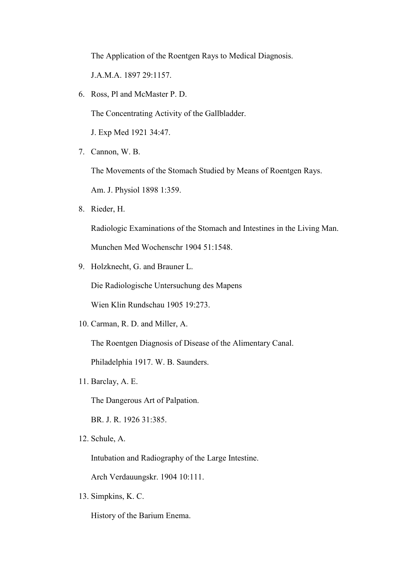The Application of the Roentgen Rays to Medical Diagnosis.

J.A.M.A. 1897 29:1157.

6. Ross, Pl and McMaster P. D.

The Concentrating Activity of the Gallbladder.

J. Exp Med 1921 34:47.

7. Cannon, W. B.

The Movements of the Stomach Studied by Means of Roentgen Rays.

Am. J. Physiol 1898 1:359.

8. Rieder, H.

Radiologic Examinations of the Stomach and Intestines in the Living Man.

Munchen Med Wochenschr 1904 51:1548.

9. Holzknecht, G. and Brauner L.

Die Radiologische Untersuchung des Mapens

Wien Klin Rundschau 1905 19:273.

10. Carman, R. D. and Miller, A.

The Roentgen Diagnosis of Disease of the Alimentary Canal.

Philadelphia 1917. W. B. Saunders.

11. Barclay, A. E.

The Dangerous Art of Palpation.

BR. J. R. 1926 31:385.

12. Schule, A.

Intubation and Radiography of the Large Intestine.

Arch Verdauungskr. 1904 10:111.

13. Simpkins, K. C.

History of the Barium Enema.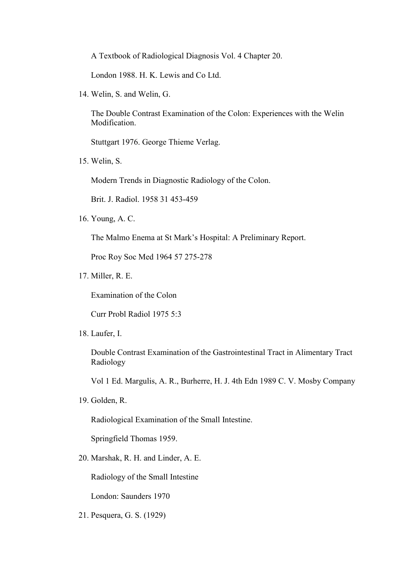A Textbook of Radiological Diagnosis Vol. 4 Chapter 20.

London 1988. H. K. Lewis and Co Ltd.

14. Welin, S. and Welin, G.

The Double Contrast Examination of the Colon: Experiences with the Welin Modification.

Stuttgart 1976. George Thieme Verlag.

15. Welin, S.

Modern Trends in Diagnostic Radiology of the Colon.

Brit. J. Radiol. 1958 31 453-459

16. Young, A. C.

The Malmo Enema at St Mark's Hospital: A Preliminary Report.

Proc Roy Soc Med 1964 57 275-278

17. Miller, R. E.

Examination of the Colon

Curr Probl Radiol 1975 5:3

18. Laufer, I.

Double Contrast Examination of the Gastrointestinal Tract in Alimentary Tract Radiology

Vol 1 Ed. Margulis, A. R., Burherre, H. J. 4th Edn 1989 C. V. Mosby Company

19. Golden, R.

Radiological Examination of the Small Intestine.

Springfield Thomas 1959.

20. Marshak, R. H. and Linder, A. E.

Radiology of the Small Intestine

London: Saunders 1970

21. Pesquera, G. S. (1929)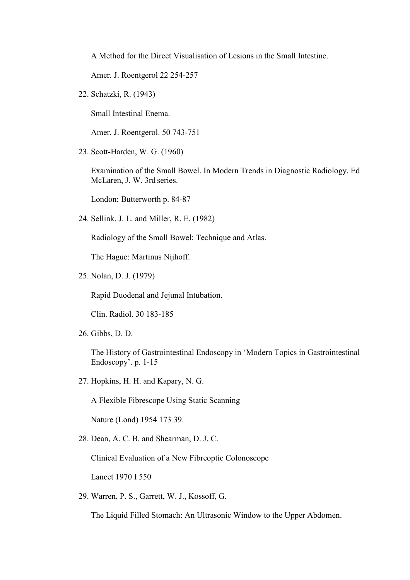A Method for the Direct Visualisation of Lesions in the Small Intestine.

Amer. J. Roentgerol 22 254-257

22. Schatzki, R. (1943)

Small Intestinal Enema.

Amer. J. Roentgerol. 50 743-751

23. Scott-Harden, W. G. (1960)

Examination of the Small Bowel. In Modern Trends in Diagnostic Radiology. Ed McLaren, J. W. 3rd series.

London: Butterworth p. 84-87

24. Sellink, J. L. and Miller, R. E. (1982)

Radiology of the Small Bowel: Technique and Atlas.

The Hague: Martinus Nijhoff.

25. Nolan, D. J. (1979)

Rapid Duodenal and Jejunal Intubation.

Clin. Radiol. 30 183-185

26. Gibbs, D. D.

The History of Gastrointestinal Endoscopy in 'Modern Topics in Gastrointestinal Endoscopy'. p. 1-15

27. Hopkins, H. H. and Kapary, N. G.

A Flexible Fibrescope Using Static Scanning

Nature (Lond) 1954 173 39.

28. Dean, A. C. B. and Shearman, D. J. C.

Clinical Evaluation of a New Fibreoptic Colonoscope

Lancet 1970 I 550

29. Warren, P. S., Garrett, W. J., Kossoff, G.

The Liquid Filled Stomach: An Ultrasonic Window to the Upper Abdomen.